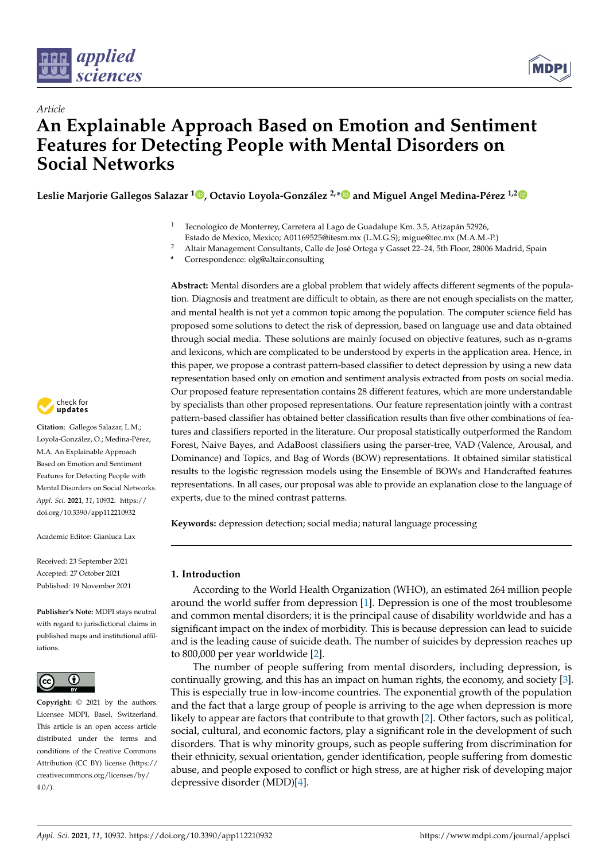

*Article*



# **An Explainable Approach Based on Emotion and Sentiment Features for Detecting People with Mental Disorders on Social Networks**

**Leslie Marjorie Gallegos Salazar <sup>1</sup> [,](https://orcid.org/0000-0003-0654-7130) Octavio Loyola-González 2,[\\*](https://orcid.org/0000-0002-6910-5922) and Miguel Angel Medina-Pérez 1,[2](https://orcid.org/0000-0003-4511-2252)**

- <sup>1</sup> Tecnologico de Monterrey, Carretera al Lago de Guadalupe Km. 3.5, Atizapán 52926, Estado de Mexico, Mexico; A01169525@itesm.mx (L.M.G.S); migue@tec.mx (M.A.M.-P.)
- <sup>2</sup> Altair Management Consultants, Calle de José Ortega y Gasset 22-24, 5th Floor, 28006 Madrid, Spain
- **\*** Correspondence: olg@altair.consulting

**Abstract:** Mental disorders are a global problem that widely affects different segments of the population. Diagnosis and treatment are difficult to obtain, as there are not enough specialists on the matter, and mental health is not yet a common topic among the population. The computer science field has proposed some solutions to detect the risk of depression, based on language use and data obtained through social media. These solutions are mainly focused on objective features, such as n-grams and lexicons, which are complicated to be understood by experts in the application area. Hence, in this paper, we propose a contrast pattern-based classifier to detect depression by using a new data representation based only on emotion and sentiment analysis extracted from posts on social media. Our proposed feature representation contains 28 different features, which are more understandable by specialists than other proposed representations. Our feature representation jointly with a contrast pattern-based classifier has obtained better classification results than five other combinations of features and classifiers reported in the literature. Our proposal statistically outperformed the Random Forest, Naive Bayes, and AdaBoost classifiers using the parser-tree, VAD (Valence, Arousal, and Dominance) and Topics, and Bag of Words (BOW) representations. It obtained similar statistical results to the logistic regression models using the Ensemble of BOWs and Handcrafted features representations. In all cases, our proposal was able to provide an explanation close to the language of experts, due to the mined contrast patterns.

**Keywords:** depression detection; social media; natural language processing

# **1. Introduction**

According to the World Health Organization (WHO), an estimated 264 million people around the world suffer from depression [\[1\]](#page-20-0). Depression is one of the most troublesome and common mental disorders; it is the principal cause of disability worldwide and has a significant impact on the index of morbidity. This is because depression can lead to suicide and is the leading cause of suicide death. The number of suicides by depression reaches up to 800,000 per year worldwide [\[2\]](#page-20-1).

The number of people suffering from mental disorders, including depression, is continually growing, and this has an impact on human rights, the economy, and society [\[3\]](#page-20-2). This is especially true in low-income countries. The exponential growth of the population and the fact that a large group of people is arriving to the age when depression is more likely to appear are factors that contribute to that growth [\[2\]](#page-20-1). Other factors, such as political, social, cultural, and economic factors, play a significant role in the development of such disorders. That is why minority groups, such as people suffering from discrimination for their ethnicity, sexual orientation, gender identification, people suffering from domestic abuse, and people exposed to conflict or high stress, are at higher risk of developing major depressive disorder (MDD)[\[4\]](#page-20-3).



**Citation:** Gallegos Salazar, L.M.; Loyola-González, O.; Medina-Pérez, M.A. An Explainable Approach Based on Emotion and Sentiment Features for Detecting People with Mental Disorders on Social Networks. *Appl. Sci.* **2021**, *11*, 10932. [https://](https://doi.org/10.3390/app112210932) [doi.org/10.3390/app112210932](https://doi.org/10.3390/app112210932)

Academic Editor: Gianluca Lax

Received: 23 September 2021 Accepted: 27 October 2021 Published: 19 November 2021

**Publisher's Note:** MDPI stays neutral with regard to jurisdictional claims in published maps and institutional affiliations.



**Copyright:** © 2021 by the authors. Licensee MDPI, Basel, Switzerland. This article is an open access article distributed under the terms and conditions of the Creative Commons Attribution (CC BY) license (https:/[/](https://creativecommons.org/licenses/by/4.0/) [creativecommons.org/licenses/by/](https://creativecommons.org/licenses/by/4.0/)  $4.0/$ ).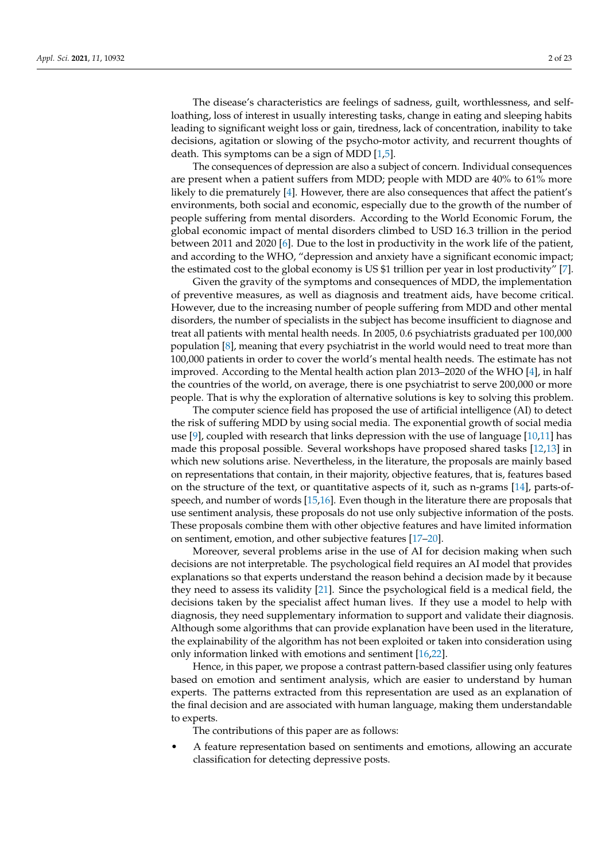The disease's characteristics are feelings of sadness, guilt, worthlessness, and selfloathing, loss of interest in usually interesting tasks, change in eating and sleeping habits leading to significant weight loss or gain, tiredness, lack of concentration, inability to take decisions, agitation or slowing of the psycho-motor activity, and recurrent thoughts of death. This symptoms can be a sign of MDD [\[1](#page-20-0)[,5\]](#page-20-4).

The consequences of depression are also a subject of concern. Individual consequences are present when a patient suffers from MDD; people with MDD are 40% to 61% more likely to die prematurely [\[4\]](#page-20-3). However, there are also consequences that affect the patient's environments, both social and economic, especially due to the growth of the number of people suffering from mental disorders. According to the World Economic Forum, the global economic impact of mental disorders climbed to USD 16.3 trillion in the period between 2011 and 2020 [\[6\]](#page-20-5). Due to the lost in productivity in the work life of the patient, and according to the WHO, "depression and anxiety have a significant economic impact; the estimated cost to the global economy is US \$1 trillion per year in lost productivity" [\[7\]](#page-20-6).

Given the gravity of the symptoms and consequences of MDD, the implementation of preventive measures, as well as diagnosis and treatment aids, have become critical. However, due to the increasing number of people suffering from MDD and other mental disorders, the number of specialists in the subject has become insufficient to diagnose and treat all patients with mental health needs. In 2005, 0.6 psychiatrists graduated per 100,000 population [\[8\]](#page-20-7), meaning that every psychiatrist in the world would need to treat more than 100,000 patients in order to cover the world's mental health needs. The estimate has not improved. According to the Mental health action plan 2013–2020 of the WHO [\[4\]](#page-20-3), in half the countries of the world, on average, there is one psychiatrist to serve 200,000 or more people. That is why the exploration of alternative solutions is key to solving this problem.

The computer science field has proposed the use of artificial intelligence (AI) to detect the risk of suffering MDD by using social media. The exponential growth of social media use  $[9]$ , coupled with research that links depression with the use of language  $[10,11]$  $[10,11]$  has made this proposal possible. Several workshops have proposed shared tasks [\[12,](#page-20-11)[13\]](#page-20-12) in which new solutions arise. Nevertheless, in the literature, the proposals are mainly based on representations that contain, in their majority, objective features, that is, features based on the structure of the text, or quantitative aspects of it, such as n-grams [\[14\]](#page-20-13), parts-ofspeech, and number of words [\[15,](#page-20-14)[16\]](#page-20-15). Even though in the literature there are proposals that use sentiment analysis, these proposals do not use only subjective information of the posts. These proposals combine them with other objective features and have limited information on sentiment, emotion, and other subjective features [\[17](#page-20-16)[–20\]](#page-20-17).

Moreover, several problems arise in the use of AI for decision making when such decisions are not interpretable. The psychological field requires an AI model that provides explanations so that experts understand the reason behind a decision made by it because they need to assess its validity [\[21\]](#page-20-18). Since the psychological field is a medical field, the decisions taken by the specialist affect human lives. If they use a model to help with diagnosis, they need supplementary information to support and validate their diagnosis. Although some algorithms that can provide explanation have been used in the literature, the explainability of the algorithm has not been exploited or taken into consideration using only information linked with emotions and sentiment [\[16](#page-20-15)[,22\]](#page-20-19).

Hence, in this paper, we propose a contrast pattern-based classifier using only features based on emotion and sentiment analysis, which are easier to understand by human experts. The patterns extracted from this representation are used as an explanation of the final decision and are associated with human language, making them understandable to experts.

The contributions of this paper are as follows:

• A feature representation based on sentiments and emotions, allowing an accurate classification for detecting depressive posts.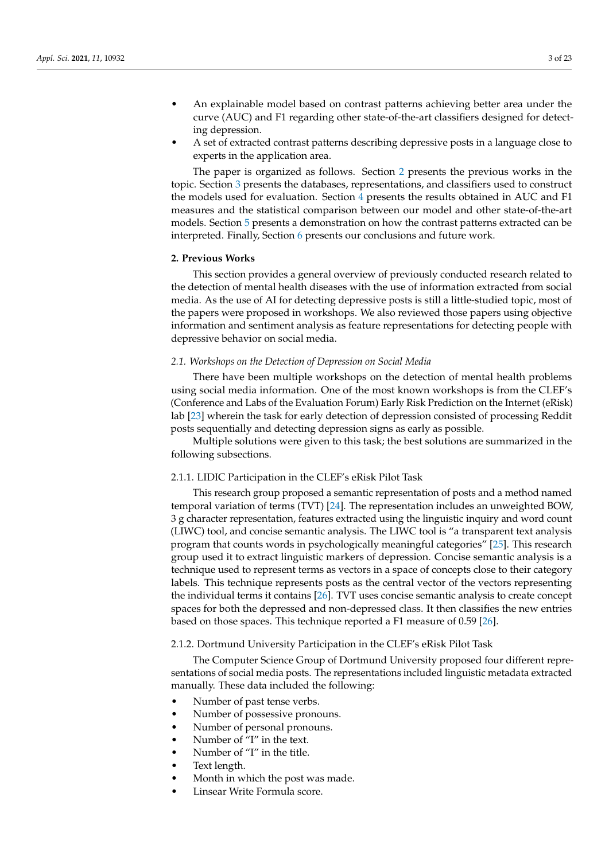- An explainable model based on contrast patterns achieving better area under the curve (AUC) and F1 regarding other state-of-the-art classifiers designed for detecting depression.
- A set of extracted contrast patterns describing depressive posts in a language close to experts in the application area.

The paper is organized as follows. Section [2](#page-2-0) presents the previous works in the topic. Section [3](#page-7-0) presents the databases, representations, and classifiers used to construct the models used for evaluation. Section [4](#page-11-0) presents the results obtained in AUC and F1 measures and the statistical comparison between our model and other state-of-the-art models. Section [5](#page-17-0) presents a demonstration on how the contrast patterns extracted can be interpreted. Finally, Section [6](#page-19-0) presents our conclusions and future work.

#### <span id="page-2-0"></span>**2. Previous Works**

This section provides a general overview of previously conducted research related to the detection of mental health diseases with the use of information extracted from social media. As the use of AI for detecting depressive posts is still a little-studied topic, most of the papers were proposed in workshops. We also reviewed those papers using objective information and sentiment analysis as feature representations for detecting people with depressive behavior on social media.

# *2.1. Workshops on the Detection of Depression on Social Media*

There have been multiple workshops on the detection of mental health problems using social media information. One of the most known workshops is from the CLEF's (Conference and Labs of the Evaluation Forum) Early Risk Prediction on the Internet (eRisk) lab [\[23\]](#page-20-20) wherein the task for early detection of depression consisted of processing Reddit posts sequentially and detecting depression signs as early as possible.

Multiple solutions were given to this task; the best solutions are summarized in the following subsections.

#### 2.1.1. LIDIC Participation in the CLEF's eRisk Pilot Task

This research group proposed a semantic representation of posts and a method named temporal variation of terms (TVT) [\[24\]](#page-20-21). The representation includes an unweighted BOW, 3 g character representation, features extracted using the linguistic inquiry and word count (LIWC) tool, and concise semantic analysis. The LIWC tool is "a transparent text analysis program that counts words in psychologically meaningful categories" [\[25\]](#page-20-22). This research group used it to extract linguistic markers of depression. Concise semantic analysis is a technique used to represent terms as vectors in a space of concepts close to their category labels. This technique represents posts as the central vector of the vectors representing the individual terms it contains [\[26\]](#page-21-0). TVT uses concise semantic analysis to create concept spaces for both the depressed and non-depressed class. It then classifies the new entries based on those spaces. This technique reported a F1 measure of 0.59 [\[26\]](#page-21-0).

#### <span id="page-2-1"></span>2.1.2. Dortmund University Participation in the CLEF's eRisk Pilot Task

The Computer Science Group of Dortmund University proposed four different representations of social media posts. The representations included linguistic metadata extracted manually. These data included the following:

- Number of past tense verbs.
- Number of possessive pronouns.
- Number of personal pronouns.
- Number of "I" in the text.
- Number of "I" in the title.
- Text length.
- Month in which the post was made.
- Linsear Write Formula score.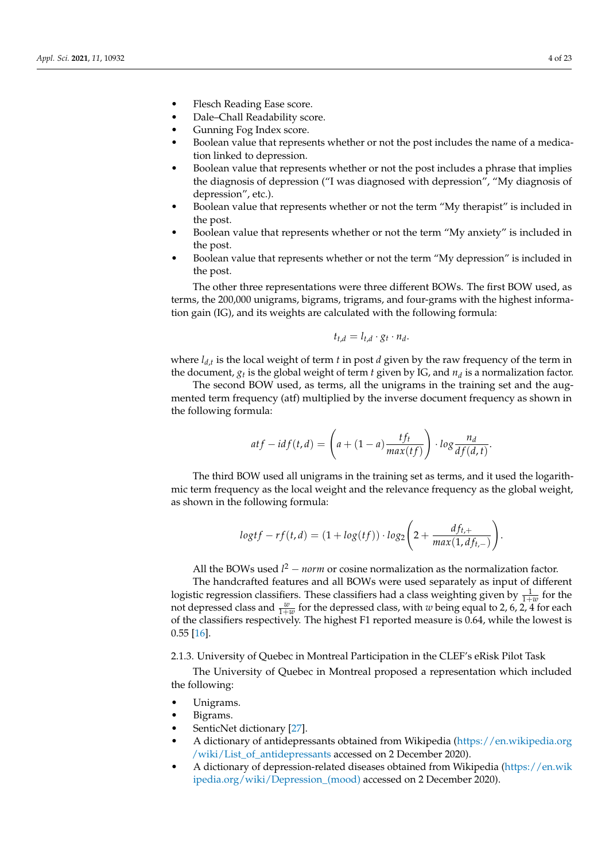- Flesch Reading Ease score.
- Dale–Chall Readability score.
- Gunning Fog Index score.
- Boolean value that represents whether or not the post includes the name of a medication linked to depression.
- Boolean value that represents whether or not the post includes a phrase that implies the diagnosis of depression ("I was diagnosed with depression", "My diagnosis of depression", etc.).
- Boolean value that represents whether or not the term "My therapist" is included in the post.
- Boolean value that represents whether or not the term "My anxiety" is included in the post.
- Boolean value that represents whether or not the term "My depression" is included in the post.

The other three representations were three different BOWs. The first BOW used, as terms, the 200,000 unigrams, bigrams, trigrams, and four-grams with the highest information gain (IG), and its weights are calculated with the following formula:

$$
t_{t,d} = l_{t,d} \cdot g_t \cdot n_d.
$$

where *ld*,*<sup>t</sup>* is the local weight of term *t* in post *d* given by the raw frequency of the term in the document, *g<sup>t</sup>* is the global weight of term *t* given by IG, and *n<sup>d</sup>* is a normalization factor.

The second BOW used, as terms, all the unigrams in the training set and the augmented term frequency (atf) multiplied by the inverse document frequency as shown in the following formula:

$$
at f - id f(t, d) = \left( a + (1 - a) \frac{tf_t}{max(tf)} \right) \cdot log \frac{n_d}{df(d, t)}.
$$

The third BOW used all unigrams in the training set as terms, and it used the logarithmic term frequency as the local weight and the relevance frequency as the global weight, as shown in the following formula:

$$
logtf - rf(t, d) = (1 + log(tf)) \cdot log_2\left(2 + \frac{df_{t,+}}{max(1, df_{t,-})}\right).
$$

All the BOWs used  $l^2$  – *norm* or cosine normalization as the normalization factor.

The handcrafted features and all BOWs were used separately as input of different logistic regression classifiers. These classifiers had a class weighting given by  $\frac{1}{1+w}$  for the not depressed class and  $\frac{w}{1+w}$  for the depressed class, with *w* being equal to 2, 6, 2, 4 for each of the classifiers respectively. The highest F1 reported measure is 0.64, while the lowest is 0.55 [\[16\]](#page-20-15).

2.1.3. University of Quebec in Montreal Participation in the CLEF's eRisk Pilot Task

The University of Quebec in Montreal proposed a representation which included the following:

- Unigrams.
- Bigrams.
- SenticNet dictionary [\[27\]](#page-21-1).
- A dictionary of antidepressants obtained from Wikipedia [\(https://en.wikipedia.org](https://en.wikipedia.org/wiki/List_of_antidepressants) [/wiki/List\\_of\\_antidepressants](https://en.wikipedia.org/wiki/List_of_antidepressants) accessed on 2 December 2020).
- A dictionary of depression-related diseases obtained from Wikipedia [\(https://en.wik](https://en.wikipedia.org/wiki/Depression_(mood)) [ipedia.org/wiki/Depression\\_\(mood\)](https://en.wikipedia.org/wiki/Depression_(mood)) accessed on 2 December 2020).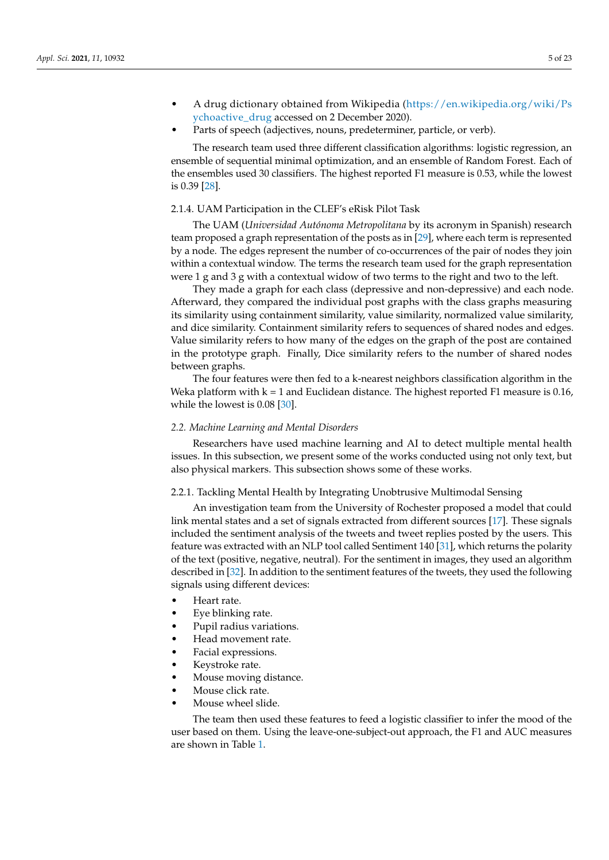- A drug dictionary obtained from Wikipedia [\(https://en.wikipedia.org/wiki/Ps](https://en.wikipedia.org/wiki/Psychoactive_drug) [ychoactive\\_drug](https://en.wikipedia.org/wiki/Psychoactive_drug) accessed on 2 December 2020).
- Parts of speech (adjectives, nouns, predeterminer, particle, or verb).

The research team used three different classification algorithms: logistic regression, an ensemble of sequential minimal optimization, and an ensemble of Random Forest. Each of the ensembles used 30 classifiers. The highest reported F1 measure is 0.53, while the lowest is 0.39 [\[28\]](#page-21-2).

# 2.1.4. UAM Participation in the CLEF's eRisk Pilot Task

The UAM (*Universidad Autónoma Metropolitana* by its acronym in Spanish) research team proposed a graph representation of the posts as in [\[29\]](#page-21-3), where each term is represented by a node. The edges represent the number of co-occurrences of the pair of nodes they join within a contextual window. The terms the research team used for the graph representation were 1 g and 3 g with a contextual widow of two terms to the right and two to the left.

They made a graph for each class (depressive and non-depressive) and each node. Afterward, they compared the individual post graphs with the class graphs measuring its similarity using containment similarity, value similarity, normalized value similarity, and dice similarity. Containment similarity refers to sequences of shared nodes and edges. Value similarity refers to how many of the edges on the graph of the post are contained in the prototype graph. Finally, Dice similarity refers to the number of shared nodes between graphs.

The four features were then fed to a k-nearest neighbors classification algorithm in the Weka platform with  $k = 1$  and Euclidean distance. The highest reported F1 measure is 0.16, while the lowest is 0.08 [\[30\]](#page-21-4).

#### *2.2. Machine Learning and Mental Disorders*

Researchers have used machine learning and AI to detect multiple mental health issues. In this subsection, we present some of the works conducted using not only text, but also physical markers. This subsection shows some of these works.

#### 2.2.1. Tackling Mental Health by Integrating Unobtrusive Multimodal Sensing

An investigation team from the University of Rochester proposed a model that could link mental states and a set of signals extracted from different sources [\[17\]](#page-20-16). These signals included the sentiment analysis of the tweets and tweet replies posted by the users. This feature was extracted with an NLP tool called Sentiment 140 [\[31\]](#page-21-5), which returns the polarity of the text (positive, negative, neutral). For the sentiment in images, they used an algorithm described in [\[32\]](#page-21-6). In addition to the sentiment features of the tweets, they used the following signals using different devices:

- Heart rate.
- Eye blinking rate.
- Pupil radius variations.
- Head movement rate.
- Facial expressions.
- Keystroke rate.
- Mouse moving distance.
- Mouse click rate.
- Mouse wheel slide.

The team then used these features to feed a logistic classifier to infer the mood of the user based on them. Using the leave-one-subject-out approach, the F1 and AUC measures are shown in Table [1.](#page-5-0)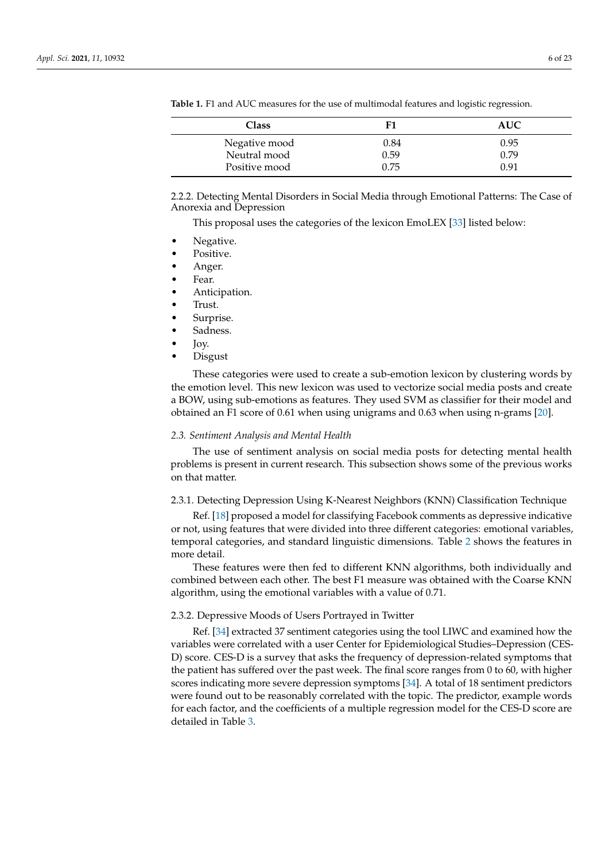| Class         | F1   | <b>AUC</b> |
|---------------|------|------------|
| Negative mood | 0.84 | 0.95       |
| Neutral mood  | 0.59 | 0.79       |
| Positive mood | 0.75 | 0.91       |

<span id="page-5-0"></span>**Table 1.** F1 and AUC measures for the use of multimodal features and logistic regression.

2.2.2. Detecting Mental Disorders in Social Media through Emotional Patterns: The Case of Anorexia and Depression

This proposal uses the categories of the lexicon EmoLEX [\[33\]](#page-21-7) listed below:

- Negative.
- Positive.
- Anger.
- Fear.
- Anticipation.
- Trust.
- Surprise.
- Sadness.
- Joy.
- Disgust

These categories were used to create a sub-emotion lexicon by clustering words by the emotion level. This new lexicon was used to vectorize social media posts and create a BOW, using sub-emotions as features. They used SVM as classifier for their model and obtained an F1 score of 0.61 when using unigrams and 0.63 when using n-grams [\[20\]](#page-20-17).

#### *2.3. Sentiment Analysis and Mental Health*

The use of sentiment analysis on social media posts for detecting mental health problems is present in current research. This subsection shows some of the previous works on that matter.

#### 2.3.1. Detecting Depression Using K-Nearest Neighbors (KNN) Classification Technique

Ref. [\[18\]](#page-20-23) proposed a model for classifying Facebook comments as depressive indicative or not, using features that were divided into three different categories: emotional variables, temporal categories, and standard linguistic dimensions. Table [2](#page-6-0) shows the features in more detail.

These features were then fed to different KNN algorithms, both individually and combined between each other. The best F1 measure was obtained with the Coarse KNN algorithm, using the emotional variables with a value of 0.71.

#### 2.3.2. Depressive Moods of Users Portrayed in Twitter

Ref. [\[34\]](#page-21-8) extracted 37 sentiment categories using the tool LIWC and examined how the variables were correlated with a user Center for Epidemiological Studies–Depression (CES-D) score. CES-D is a survey that asks the frequency of depression-related symptoms that the patient has suffered over the past week. The final score ranges from 0 to 60, with higher scores indicating more severe depression symptoms [\[34\]](#page-21-8). A total of 18 sentiment predictors were found out to be reasonably correlated with the topic. The predictor, example words for each factor, and the coefficients of a multiple regression model for the CES-D score are detailed in Table [3.](#page-6-1)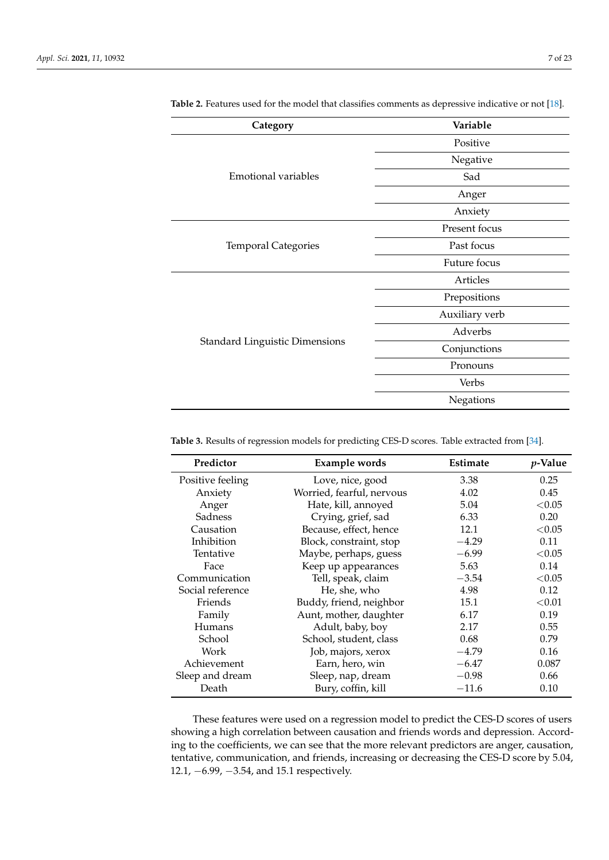| Category                              | Variable       |
|---------------------------------------|----------------|
|                                       | Positive       |
|                                       | Negative       |
| Emotional variables                   | Sad            |
|                                       | Anger          |
|                                       | Anxiety        |
|                                       | Present focus  |
| <b>Temporal Categories</b>            | Past focus     |
|                                       | Future focus   |
|                                       | Articles       |
|                                       | Prepositions   |
|                                       | Auxiliary verb |
|                                       | Adverbs        |
| <b>Standard Linguistic Dimensions</b> | Conjunctions   |
|                                       | Pronouns       |
|                                       | Verbs          |
|                                       | Negations      |

<span id="page-6-0"></span>**Table 2.** Features used for the model that classifies comments as depressive indicative or not [\[18\]](#page-20-23).

<span id="page-6-1"></span>**Table 3.** Results of regression models for predicting CES-D scores. Table extracted from [\[34\]](#page-21-8).

| Predictor        | Example words             | Estimate | <i>p</i> -Value |
|------------------|---------------------------|----------|-----------------|
| Positive feeling | Love, nice, good          | 3.38     | 0.25            |
| Anxiety          | Worried, fearful, nervous | 4.02     | 0.45            |
| Anger            | Hate, kill, annoyed       | 5.04     | < 0.05          |
| Sadness          | Crying, grief, sad        | 6.33     | 0.20            |
| Causation        | Because, effect, hence    | 12.1     | < 0.05          |
| Inhibition       | Block, constraint, stop   | $-4.29$  | 0.11            |
| Tentative        | Maybe, perhaps, guess     | $-6.99$  | < 0.05          |
| Face             | Keep up appearances       | 5.63     | 0.14            |
| Communication    | Tell, speak, claim        | $-3.54$  | < 0.05          |
| Social reference | He, she, who              | 4.98     | 0.12            |
| Friends          | Buddy, friend, neighbor   | 15.1     | < 0.01          |
| Family           | Aunt, mother, daughter    | 6.17     | 0.19            |
| Humans           | Adult, baby, boy          | 2.17     | 0.55            |
| School           | School, student, class    | 0.68     | 0.79            |
| Work             | Job, majors, xerox        | $-4.79$  | 0.16            |
| Achievement      | Earn, hero, win           | $-6.47$  | 0.087           |
| Sleep and dream  | Sleep, nap, dream         | $-0.98$  | 0.66            |
| Death            | Bury, coffin, kill        | $-11.6$  | 0.10            |

These features were used on a regression model to predict the CES-D scores of users showing a high correlation between causation and friends words and depression. According to the coefficients, we can see that the more relevant predictors are anger, causation, tentative, communication, and friends, increasing or decreasing the CES-D score by 5.04, 12.1, −6.99, −3.54, and 15.1 respectively.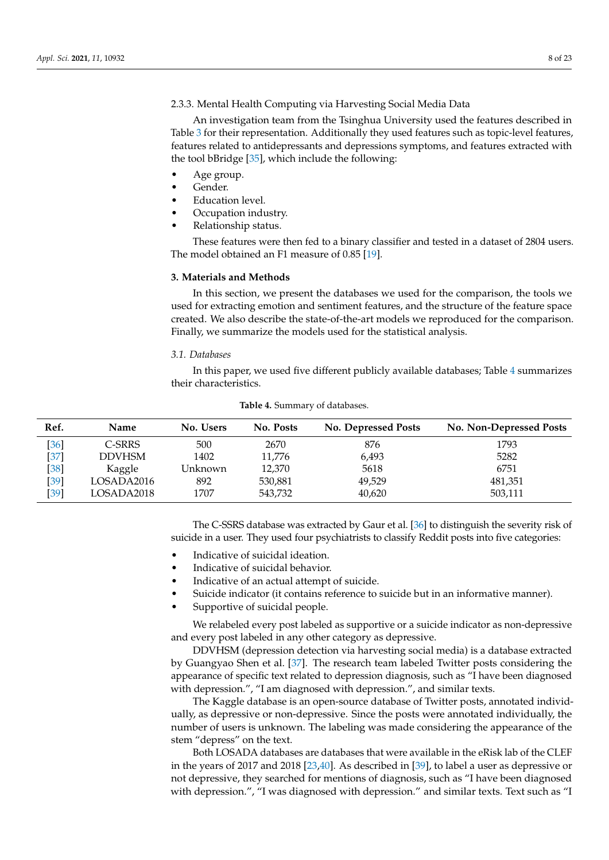# 2.3.3. Mental Health Computing via Harvesting Social Media Data

An investigation team from the Tsinghua University used the features described in Table [3](#page-6-1) for their representation. Additionally they used features such as topic-level features, features related to antidepressants and depressions symptoms, and features extracted with the tool bBridge [\[35\]](#page-21-9), which include the following:

- Age group.
- Gender.
- Education level.
- Occupation industry.
- Relationship status.

These features were then fed to a binary classifier and tested in a dataset of 2804 users. The model obtained an F1 measure of 0.85 [\[19\]](#page-20-24).

#### <span id="page-7-0"></span>**3. Materials and Methods**

In this section, we present the databases we used for the comparison, the tools we used for extracting emotion and sentiment features, and the structure of the feature space created. We also describe the state-of-the-art models we reproduced for the comparison. Finally, we summarize the models used for the statistical analysis.

#### *3.1. Databases*

In this paper, we used five different publicly available databases; Table [4](#page-7-1) summarizes their characteristics.

<span id="page-7-1"></span>

| Ref.   | <b>Name</b> | No. Users | No. Posts | <b>No. Depressed Posts</b> | No. Non-Depressed Posts |
|--------|-------------|-----------|-----------|----------------------------|-------------------------|
| [36]   | C-SRRS      | 500       | 2670      | 876                        | 1793                    |
| $[37]$ | DDVHSM      | 1402      | 11,776    | 6,493                      | 5282                    |
| $[38]$ | Kaggle      | Unknown   | 12,370    | 5618                       | 6751                    |
| $[39]$ | LOSADA2016  | 892       | 530,881   | 49,529                     | 481,351                 |
| $[39]$ | LOSADA2018  | 1707      | 543,732   | 40,620                     | 503,111                 |

**Table 4.** Summary of databases.

The C-SSRS database was extracted by Gaur et al. [\[36\]](#page-21-10) to distinguish the severity risk of suicide in a user. They used four psychiatrists to classify Reddit posts into five categories:

- Indicative of suicidal ideation.
- Indicative of suicidal behavior.
- Indicative of an actual attempt of suicide.
- Suicide indicator (it contains reference to suicide but in an informative manner).
- Supportive of suicidal people.

We relabeled every post labeled as supportive or a suicide indicator as non-depressive and every post labeled in any other category as depressive.

DDVHSM (depression detection via harvesting social media) is a database extracted by Guangyao Shen et al. [\[37\]](#page-21-11). The research team labeled Twitter posts considering the appearance of specific text related to depression diagnosis, such as "I have been diagnosed with depression.", "I am diagnosed with depression.", and similar texts.

The Kaggle database is an open-source database of Twitter posts, annotated individually, as depressive or non-depressive. Since the posts were annotated individually, the number of users is unknown. The labeling was made considering the appearance of the stem "depress" on the text.

Both LOSADA databases are databases that were available in the eRisk lab of the CLEF in the years of 2017 and 2018 [\[23,](#page-20-20)[40\]](#page-21-14). As described in [\[39\]](#page-21-13), to label a user as depressive or not depressive, they searched for mentions of diagnosis, such as "I have been diagnosed with depression.", "I was diagnosed with depression." and similar texts. Text such as "I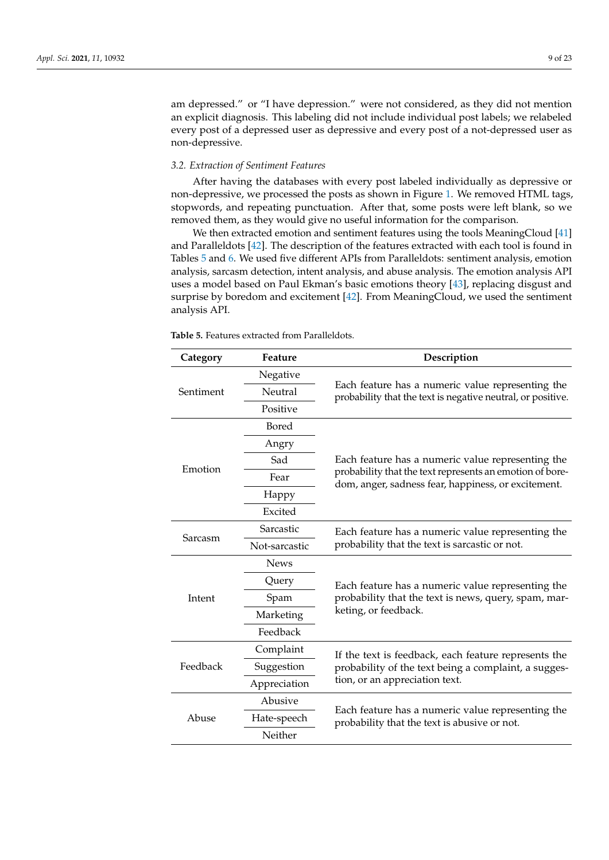am depressed." or "I have depression." were not considered, as they did not mention an explicit diagnosis. This labeling did not include individual post labels; we relabeled every post of a depressed user as depressive and every post of a not-depressed user as non-depressive.

#### *3.2. Extraction of Sentiment Features*

After having the databases with every post labeled individually as depressive or non-depressive, we processed the posts as shown in Figure [1.](#page-9-0) We removed HTML tags, stopwords, and repeating punctuation. After that, some posts were left blank, so we removed them, as they would give no useful information for the comparison.

We then extracted emotion and sentiment features using the tools MeaningCloud [\[41\]](#page-21-15) and Paralleldots [\[42\]](#page-21-16). The description of the features extracted with each tool is found in Tables [5](#page-8-0) and [6.](#page-9-1) We used five different APIs from Paralleldots: sentiment analysis, emotion analysis, sarcasm detection, intent analysis, and abuse analysis. The emotion analysis API uses a model based on Paul Ekman's basic emotions theory [\[43\]](#page-21-17), replacing disgust and surprise by boredom and excitement [\[42\]](#page-21-16). From MeaningCloud, we used the sentiment analysis API.

| Category  | Feature       | Description                                                                                                      |  |
|-----------|---------------|------------------------------------------------------------------------------------------------------------------|--|
|           | Negative      |                                                                                                                  |  |
| Sentiment | Neutral       | Each feature has a numeric value representing the<br>probability that the text is negative neutral, or positive. |  |
|           | Positive      |                                                                                                                  |  |
|           | Bored         |                                                                                                                  |  |
|           | Angry         |                                                                                                                  |  |
| Emotion   | Sad           | Each feature has a numeric value representing the                                                                |  |
|           | Fear          | probability that the text represents an emotion of bore-<br>dom, anger, sadness fear, happiness, or excitement.  |  |
|           | Happy         |                                                                                                                  |  |
|           | Excited       |                                                                                                                  |  |
|           | Sarcastic     | Each feature has a numeric value representing the                                                                |  |
| Sarcasm   | Not-sarcastic | probability that the text is sarcastic or not.                                                                   |  |
|           | <b>News</b>   |                                                                                                                  |  |
|           | Query         | Each feature has a numeric value representing the                                                                |  |
| Intent    | Spam          | probability that the text is news, query, spam, mar-                                                             |  |
|           | Marketing     | keting, or feedback.                                                                                             |  |
|           | Feedback      |                                                                                                                  |  |
|           | Complaint     | If the text is feedback, each feature represents the                                                             |  |
| Feedback  | Suggestion    | probability of the text being a complaint, a sugges-                                                             |  |
|           | Appreciation  | tion, or an appreciation text.                                                                                   |  |
|           | Abusive       |                                                                                                                  |  |
| Abuse     | Hate-speech   | Each feature has a numeric value representing the<br>probability that the text is abusive or not.                |  |
|           | Neither       |                                                                                                                  |  |

<span id="page-8-0"></span>**Table 5.** Features extracted from Paralleldots.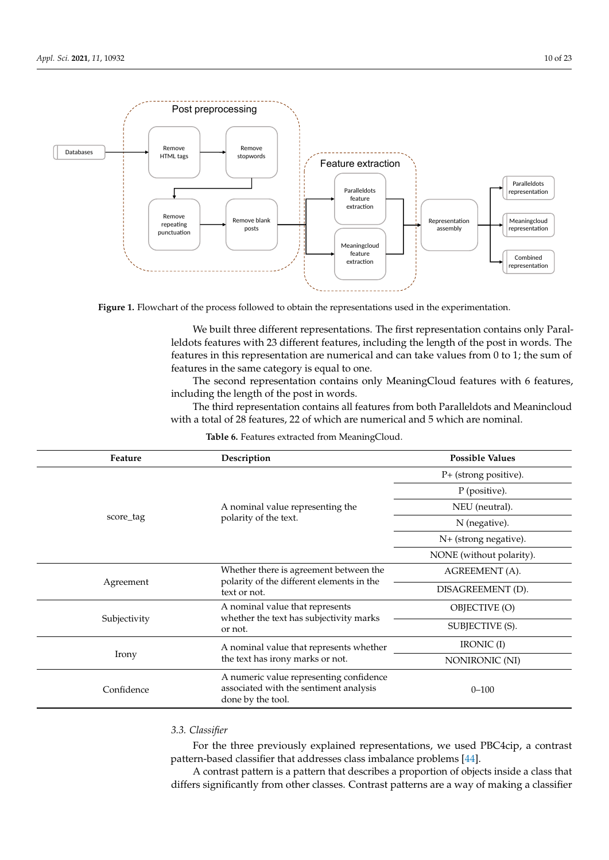<span id="page-9-0"></span>

removed them, as they would give no useful information for the comparison.

Figure 1. Flowchart of the process followed to obtain the representations used in the experimentation.

features in this representation are numerical and can take values from  $0$  to 1; the sum of features in the same attenuation and to  $\alpha$ leldots features with 23 different features, including the length of the post in words. The features in the same category is equal to one. We built three different representations. The first representation contains only Paral-

The second representation contains only MeaningCloud features with 6 features, including the length of the post in words.

The third representation contains all features from both Paralleldots and Meanincloud with a total of 28 features, 22 of which are numerical and 5 which are nominal.

<span id="page-9-1"></span>

| Feature      | Description                                                                                            | <b>Possible Values</b>   |
|--------------|--------------------------------------------------------------------------------------------------------|--------------------------|
|              |                                                                                                        | P+ (strong positive).    |
|              |                                                                                                        | P (positive).            |
|              | A nominal value representing the                                                                       | NEU (neutral).           |
| score_tag    | polarity of the text.                                                                                  | N (negative).            |
|              |                                                                                                        | N+ (strong negative).    |
|              |                                                                                                        | NONE (without polarity). |
|              | Whether there is agreement between the                                                                 | AGREEMENT (A).           |
| Agreement    | polarity of the different elements in the<br>text or not.                                              | DISAGREEMENT (D).        |
|              | A nominal value that represents                                                                        | OBJECTIVE (O)            |
| Subjectivity | whether the text has subjectivity marks<br>or not.                                                     | SUBJECTIVE (S).          |
|              | A nominal value that represents whether                                                                | IRONIC (I)               |
| Irony        | the text has irony marks or not.                                                                       | NONIRONIC (NI)           |
| Confidence   | A numeric value representing confidence<br>associated with the sentiment analysis<br>done by the tool. | $0 - 100$                |

**Table 6.** Features extracted from MeaningCloud.

#### 3.3. Classifier *3.3. Classifier*

For the three previously explained representations, we used PBC4cip, a contrast pattern-based classifier that addresses class imbalance problems [\[44\]](#page-21-18).

A contrast pattern is a pattern that describes a proportion or objects inside a class that<br>differs significantly from other classes. Contrast patterns are a way of making a classifier  $326$  including the post including the post in words. A contrast pattern is a pattern that describes a proportion of objects inside a class that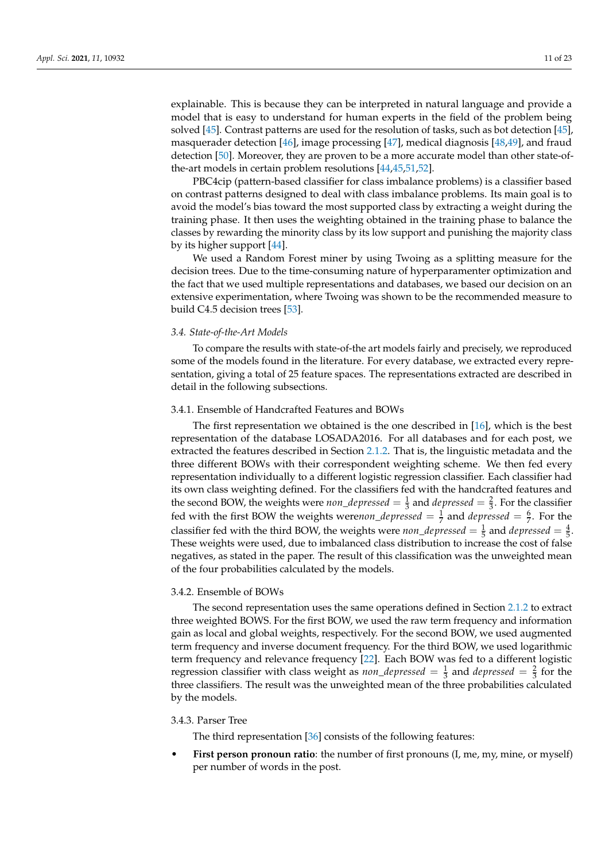explainable. This is because they can be interpreted in natural language and provide a model that is easy to understand for human experts in the field of the problem being solved [\[45\]](#page-21-19). Contrast patterns are used for the resolution of tasks, such as bot detection [\[45\]](#page-21-19), masquerader detection [\[46\]](#page-21-20), image processing [\[47\]](#page-21-21), medical diagnosis [\[48](#page-21-22)[,49\]](#page-21-23), and fraud detection [\[50\]](#page-21-24). Moreover, they are proven to be a more accurate model than other state-ofthe-art models in certain problem resolutions [\[44,](#page-21-18)[45,](#page-21-19)[51,](#page-21-25)[52\]](#page-21-26).

PBC4cip (pattern-based classifier for class imbalance problems) is a classifier based on contrast patterns designed to deal with class imbalance problems. Its main goal is to avoid the model's bias toward the most supported class by extracting a weight during the training phase. It then uses the weighting obtained in the training phase to balance the classes by rewarding the minority class by its low support and punishing the majority class by its higher support [\[44\]](#page-21-18).

We used a Random Forest miner by using Twoing as a splitting measure for the decision trees. Due to the time-consuming nature of hyperparamenter optimization and the fact that we used multiple representations and databases, we based our decision on an extensive experimentation, where Twoing was shown to be the recommended measure to build C4.5 decision trees [\[53\]](#page-21-27).

### *3.4. State-of-the-Art Models*

To compare the results with state-of-the art models fairly and precisely, we reproduced some of the models found in the literature. For every database, we extracted every representation, giving a total of 25 feature spaces. The representations extracted are described in detail in the following subsections.

#### 3.4.1. Ensemble of Handcrafted Features and BOWs

The first representation we obtained is the one described in [\[16\]](#page-20-15), which is the best representation of the database LOSADA2016. For all databases and for each post, we extracted the features described in Section [2.1.2.](#page-2-1) That is, the linguistic metadata and the three different BOWs with their correspondent weighting scheme. We then fed every representation individually to a different logistic regression classifier. Each classifier had its own class weighting defined. For the classifiers fed with the handcrafted features and the second BOW, the weights were *non\_depressed* =  $\frac{1}{3}$  and *depressed* =  $\frac{2}{3}$ . For the classifier fed with the first BOW the weights were*non\_depressed* =  $\frac{1}{7}$  and *depressed* =  $\frac{6}{7}$ . For the classifier fed with the third BOW, the weights were *non\_depressed* =  $\frac{1}{5}$  and *depressed* =  $\frac{4}{5}$ . These weights were used, due to imbalanced class distribution to increase the cost of false negatives, as stated in the paper. The result of this classification was the unweighted mean of the four probabilities calculated by the models.

#### 3.4.2. Ensemble of BOWs

The second representation uses the same operations defined in Section [2.1.2](#page-2-1) to extract three weighted BOWS. For the first BOW, we used the raw term frequency and information gain as local and global weights, respectively. For the second BOW, we used augmented term frequency and inverse document frequency. For the third BOW, we used logarithmic term frequency and relevance frequency [\[22\]](#page-20-19). Each BOW was fed to a different logistic regression classifier with class weight as *non\_depressed* =  $\frac{1}{3}$  and *depressed* =  $\frac{2}{3}$  for the three classifiers. The result was the unweighted mean of the three probabilities calculated by the models.

# 3.4.3. Parser Tree

The third representation [\[36\]](#page-21-10) consists of the following features:

**First person pronoun ratio**: the number of first pronouns (I, me, my, mine, or myself) per number of words in the post.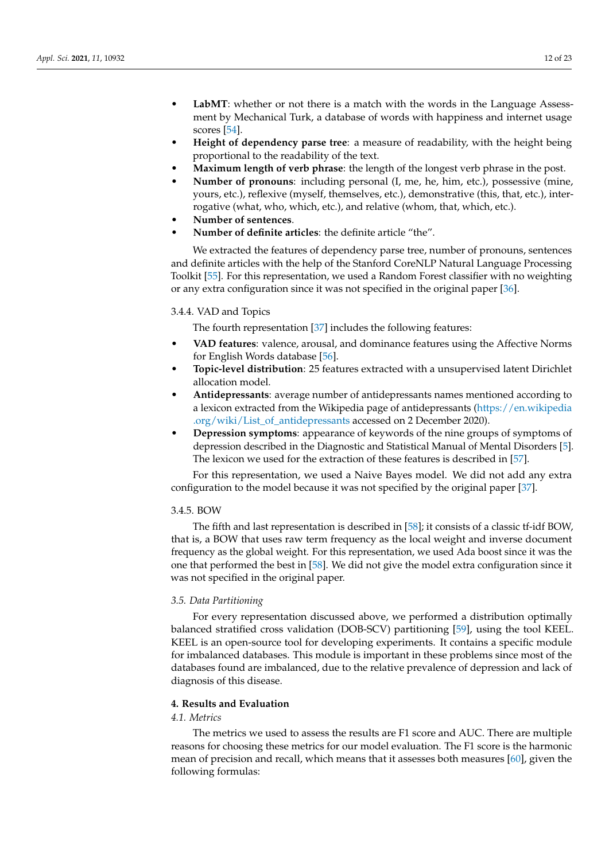- **LabMT**: whether or not there is a match with the words in the Language Assessment by Mechanical Turk, a database of words with happiness and internet usage scores [\[54\]](#page-22-0).
- **Height of dependency parse tree**: a measure of readability, with the height being proportional to the readability of the text.
- **Maximum length of verb phrase**: the length of the longest verb phrase in the post.
- **Number of pronouns**: including personal (I, me, he, him, etc.), possessive (mine, yours, etc.), reflexive (myself, themselves, etc.), demonstrative (this, that, etc.), interrogative (what, who, which, etc.), and relative (whom, that, which, etc.).
- **Number of sentences**.
- **Number of definite articles**: the definite article "the".

We extracted the features of dependency parse tree, number of pronouns, sentences and definite articles with the help of the Stanford CoreNLP Natural Language Processing Toolkit [\[55\]](#page-22-1). For this representation, we used a Random Forest classifier with no weighting or any extra configuration since it was not specified in the original paper [\[36\]](#page-21-10).

#### 3.4.4. VAD and Topics

The fourth representation [\[37\]](#page-21-11) includes the following features:

- **VAD features**: valence, arousal, and dominance features using the Affective Norms for English Words database [\[56\]](#page-22-2).
- **Topic-level distribution**: 25 features extracted with a unsupervised latent Dirichlet allocation model.
- **Antidepressants**: average number of antidepressants names mentioned according to a lexicon extracted from the Wikipedia page of antidepressants [\(https://en.wikipedia](https://en.wikipedia.org/wiki/List_of_antidepressants) [.org/wiki/List\\_of\\_antidepressants](https://en.wikipedia.org/wiki/List_of_antidepressants) accessed on 2 December 2020).
- **Depression symptoms**: appearance of keywords of the nine groups of symptoms of depression described in the Diagnostic and Statistical Manual of Mental Disorders [\[5\]](#page-20-4). The lexicon we used for the extraction of these features is described in [\[57\]](#page-22-3).

For this representation, we used a Naive Bayes model. We did not add any extra configuration to the model because it was not specified by the original paper [\[37\]](#page-21-11).

# 3.4.5. BOW

The fifth and last representation is described in [\[58\]](#page-22-4); it consists of a classic tf-idf BOW, that is, a BOW that uses raw term frequency as the local weight and inverse document frequency as the global weight. For this representation, we used Ada boost since it was the one that performed the best in [\[58\]](#page-22-4). We did not give the model extra configuration since it was not specified in the original paper.

#### *3.5. Data Partitioning*

For every representation discussed above, we performed a distribution optimally balanced stratified cross validation (DOB-SCV) partitioning [\[59\]](#page-22-5), using the tool KEEL. KEEL is an open-source tool for developing experiments. It contains a specific module for imbalanced databases. This module is important in these problems since most of the databases found are imbalanced, due to the relative prevalence of depression and lack of diagnosis of this disease.

#### <span id="page-11-0"></span>**4. Results and Evaluation**

# *4.1. Metrics*

The metrics we used to assess the results are F1 score and AUC. There are multiple reasons for choosing these metrics for our model evaluation. The F1 score is the harmonic mean of precision and recall, which means that it assesses both measures [\[60\]](#page-22-6), given the following formulas: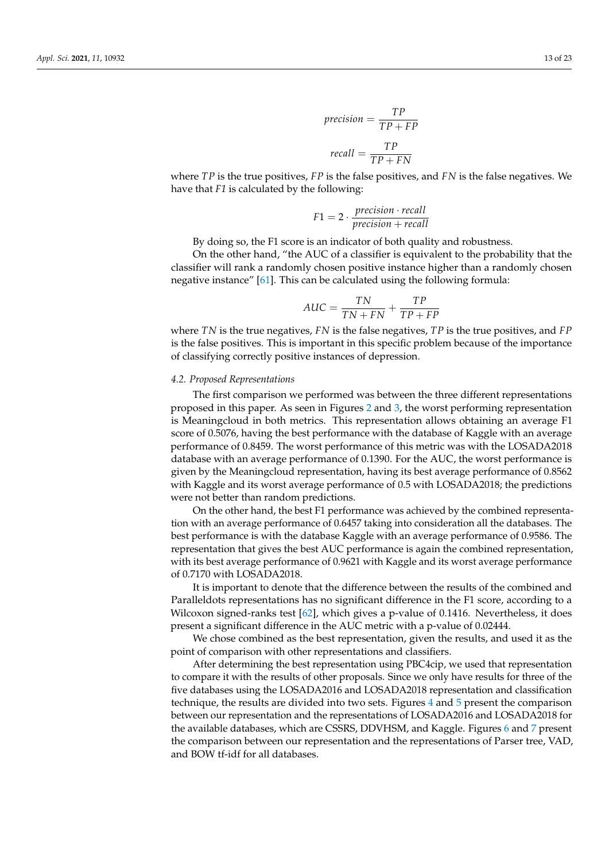$$
precision = \frac{TP}{TP + FP}
$$

$$
recall = \frac{TP}{TP + FN}
$$

where *TP* is the true positives, *FP* is the false positives, and *FN* is the false negatives. We have that *F1* is calculated by the following:

$$
F1 = 2 \cdot \frac{precision \cdot recall}{precision + recall}
$$

By doing so, the F1 score is an indicator of both quality and robustness.

On the other hand, "the AUC of a classifier is equivalent to the probability that the classifier will rank a randomly chosen positive instance higher than a randomly chosen negative instance" [\[61\]](#page-22-7). This can be calculated using the following formula:

$$
AUC = \frac{TN}{TN + FN} + \frac{TP}{TP + FP}
$$

where *TN* is the true negatives, *FN* is the false negatives, *TP* is the true positives, and *FP* is the false positives. This is important in this specific problem because of the importance of classifying correctly positive instances of depression.

#### *4.2. Proposed Representations*

The first comparison we performed was between the three different representations proposed in this paper. As seen in Figures [2](#page-13-0) and [3,](#page-13-1) the worst performing representation is Meaningcloud in both metrics. This representation allows obtaining an average F1 score of 0.5076, having the best performance with the database of Kaggle with an average performance of 0.8459. The worst performance of this metric was with the LOSADA2018 database with an average performance of 0.1390. For the AUC, the worst performance is given by the Meaningcloud representation, having its best average performance of 0.8562 with Kaggle and its worst average performance of 0.5 with LOSADA2018; the predictions were not better than random predictions.

On the other hand, the best F1 performance was achieved by the combined representation with an average performance of 0.6457 taking into consideration all the databases. The best performance is with the database Kaggle with an average performance of 0.9586. The representation that gives the best AUC performance is again the combined representation, with its best average performance of 0.9621 with Kaggle and its worst average performance of 0.7170 with LOSADA2018.

It is important to denote that the difference between the results of the combined and Paralleldots representations has no significant difference in the F1 score, according to a Wilcoxon signed-ranks test [\[62\]](#page-22-8), which gives a p-value of 0.1416. Nevertheless, it does present a significant difference in the AUC metric with a p-value of 0.02444.

We chose combined as the best representation, given the results, and used it as the point of comparison with other representations and classifiers.

After determining the best representation using PBC4cip, we used that representation to compare it with the results of other proposals. Since we only have results for three of the five databases using the LOSADA2016 and LOSADA2018 representation and classification technique, the results are divided into two sets. Figures [4](#page-14-0) and [5](#page-14-1) present the comparison between our representation and the representations of LOSADA2016 and LOSADA2018 for the available databases, which are CSSRS, DDVHSM, and Kaggle. Figures [6](#page-15-0) and [7](#page-16-0) present the comparison between our representation and the representations of Parser tree, VAD, and BOW tf-idf for all databases.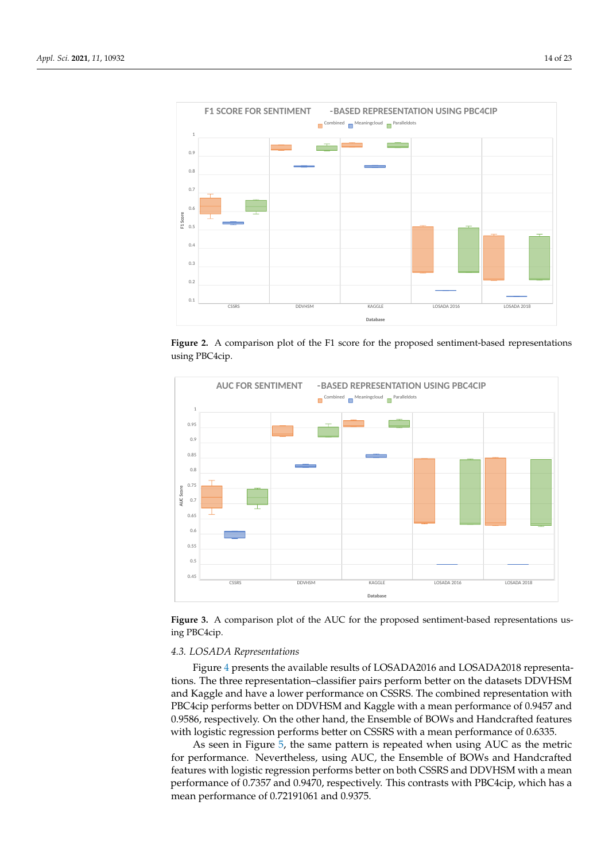<span id="page-13-0"></span>

Version October 12, 2021 submitted to *Appl. Sci.* 13 of 21

Figure 2. A comparison plot of the F1 score for the proposed sentiment-based representations using PBC4cip. using PBC4cip. using PBC4cip.

<span id="page-13-1"></span>

Figure 3. A comparison plot of the AUC for the proposed sentiment-based representations us-PBC4cip ing PBC4cip.

# $\mathcal{A}_{\mathcal{A}}$  the comparison between our representation and the representations of  $\mathcal{A}_{\mathcal{A}}$ <sup>465</sup> and BOW tf-idf for all databases. Figure 4 and Figure 5 present the comparison between <sup>464</sup> the comparison between our representation and the representations of Parser tree, VAD, *4.3. LOSADA Representations*

Figure 4 prese[nt](#page-14-0)s the available results of LOSADA2016 and LOSADA2018 representations. The three representation-classifier pairs perform better on the datasets DDVHSM PBC4cip performs better on DDVHSM and Kaggle with a mean performance of 0.9457 and 0.9586, respectively. On the other hand, the Ensemble of BOWs and Handcrafted features with logistic regression performs better on CSSRS with a mean performance of 0.6335. and Kaggle and have a lower performance on CSSRS. The combined representation with

As seen in Figure 5, the same pattern is repeated when using AUC as the metric for performance. Nevertheless, using AUC, the Ensemble of BOWs and Handcrafted features with logistic regression performs better on both CSSRS and DDVHSM with a mean performance of 0.7357 and 0.9470, respectively. This contrasts with PBC4cip, which has a mean performance of 0.72191061 and 0.9375.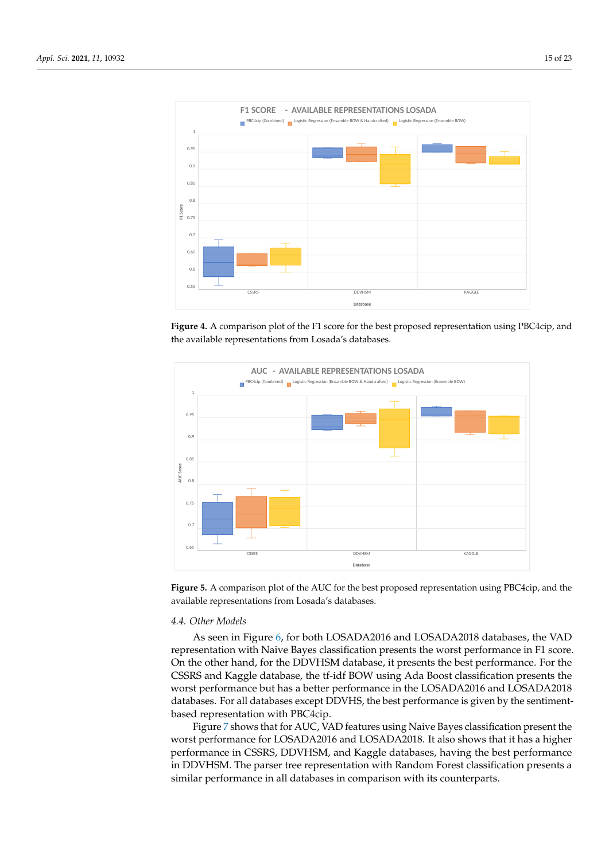<span id="page-14-0"></span>

 $\mathcal{A}^{\mathcal{A}}$  performance of 0.7357 and 0.9570 respectively. This contrast with PBC4cip with  $\mathcal{A}^{\mathcal{A}}$ 

 $4788$  with Logistic Regression performs better on both CSSRs and DDVHSM with a mean  $\sim$ 

Figure 4. A comparison plot of the F1 score for the best proposed representation using PBC4cip, and and the available representations from Losada's databases. the available representations from Losada's databases. and the available representations from Losada's databases.

<span id="page-14-1"></span>

Figure 5. A comparison plot of the AUC for the best proposed representation using PBC4cip, and the the available representations from Losada's databases. available representations from Losada's databases.

# <sup>481</sup> *4.4. Other Models* <sup>481</sup> *4.4. Other Models 4.4. Other Models*

As seen in Figure 6, [for](#page-15-0) both LOSADA2016 and LOSADA2018 databases, the VAD representation with Naive Bayes classification presents the worst performance in F1 score. On the other hand, for the DDVHSM database, it presents the best performance. For the CSSRS and Kaggle database, the tf-idf BOW using Ada Boost classification presents the worst performance but has a better performance in the LOSADA2016 and LOSADA2018 databases. For all databases except DDVHS, the best performance is given by the sentimentbased representation with PBC4cip.

Figure [7](#page-16-0) shows that for AUC, VAD features using Naive Bayes classification present the worst performance for LOSADA2016 and LOSADA2018. It also shows that it has a higher performance in CSSRS, DDVHSM, and Kaggle databases, having the best performance in DDVHSM. The parser tree representation with Random Forest classification presents a similar performance in all databases in comparison with its counterparts.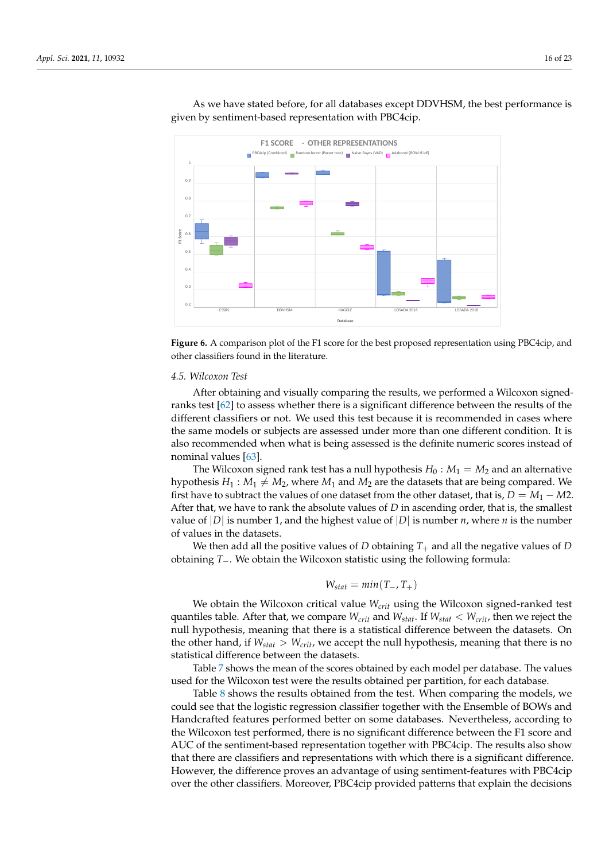<span id="page-15-0"></span>

 $491$  has a higher performance in  $C$ 

As we have stated before, for all databases except DDVHSM, the best performance is given by sentiment-based representation with PBC4cip. As we have stated before, for all databases except DDVHSM, the best  $\mathsf{p}$ 

**Figure 6.** A comparison plot of the F1 score for the best proposed representation using PBC4cip, Figure 6. A comparison plot of the F1 score for the best proposed representation using PBC4cip, and other classifiers found in the literature.

# *4.5. Wilcoxon Test*

nominal values [\[63\]](#page-22-9). the same models or subjects are assessed under more than one different condition. It is different classifiers or not. We used this test because it is recommended in cases where After obtaining and visually comparing the results, we performed a Wilcoxon signedranks test [\[62\]](#page-22-8) to assess whether there is a significant difference between the results of the also recommended when what is being assessed is the definite numeric scores instead of

value of  $|D|$  is number 1, and the highest value of  $|D|$  is number *n*, where *n* is the number After that, we have to rank the absolute values of *D* in ascending order, that is, the smallest hypothesis  $H_1 : M_1 \neq M_2$ , where  $M_1$  and  $M_2$  are the datasets that are being compared. We The Wilcoxon signed rank test has a null hypothesis  $H_0$  :  $M_1 = M_2$  and an alternative first have to subtract the values of one dataset from the other dataset, that is,  $D = M_1 - M_2$ . of values in the datasets.

**Database** obtaining *T*−. We obtain the Wilcoxon statistic using the following formula: We then add all the positive values of *D* obtaining  $T_+$  and all the negative values of *D* 

$$
W_{stat}=min(T_-,T_+)
$$

We obtain the Wilcoxon critical value *Wcrit* using the Wilcoxon signed-ranked test quantiles table. After that, we compare *Wcrit* and *Wstat*. If *Wstat* < *Wcrit*, then we reject the null hypothesis, meaning that there is a statistical difference between the datasets. On the other hand, if  $W_{stat} > W_{crit}$ , we accept the null hypothesis, meaning that there is no statistical difference between the datasets.

Table [7](#page-17-1) shows the mean of the scores obtained by each model per database. The values used for the Wilcoxon test were the results obtained per partition, for each database.

Table [8](#page-17-2) shows the results obtained from the test. When comparing the models, we could see that the logistic regression classifier together with the Ensemble of BOWs and Handcrafted features performed better on some databases. Nevertheless, according to the Wilcoxon test performed, there is no significant difference between the F1 score and AUC of the sentiment-based representation together with PBC4cip. The results also show that there are classifiers and representations with which there is a significant difference. However, the difference proves an advantage of using sentiment-features with PBC4cip over the other classifiers. Moreover, PBC4cip provided patterns that explain the decisions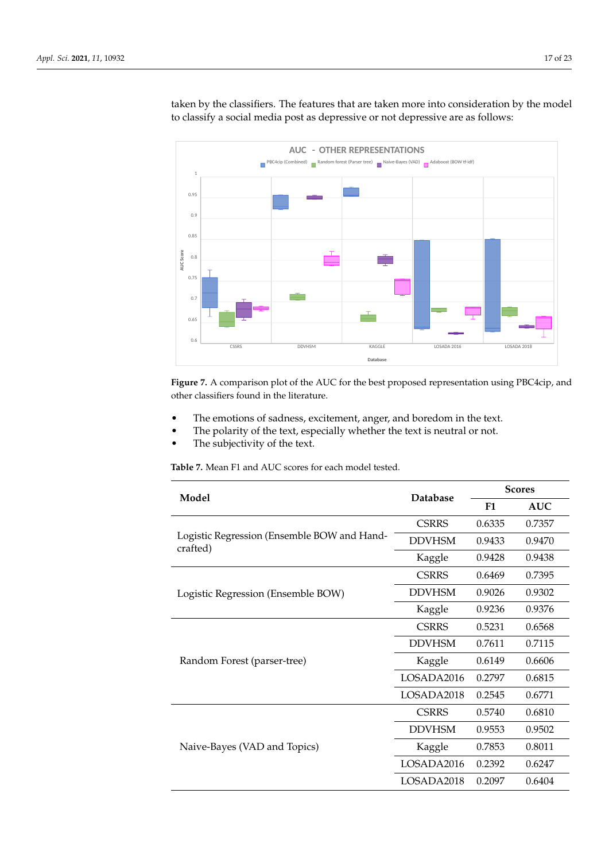<span id="page-16-0"></span>

taken by the classifiers. The features that are taken more into consideration by the model to classify a social media post as depressive or not depressive are as follows:

CSSRS DDVHSM KAGGLE LOSADA 2016 LOSADA 2018

**Figure 7.** A comparison plot of the AUC for the best proposed representation using PBC4cip, and **Figure 7.** A comparison plot of the AUC for the best proposed representation using PBC4cip, and other classifiers found in the literature. other classifiers found in the literature.

- The emotions of sadness, excitement, anger, and boredom in the text.
- The polarity of the text, especially whether the text is neutral or not.
- The subjectivity of the text.

**Table 7.** Mean F1 and AUC scores for each model tested.

| Model                                                   | <b>Database</b> | <b>Scores</b> |            |  |
|---------------------------------------------------------|-----------------|---------------|------------|--|
|                                                         |                 | F1            | <b>AUC</b> |  |
|                                                         | <b>CSRRS</b>    | 0.6335        | 0.7357     |  |
| Logistic Regression (Ensemble BOW and Hand-<br>crafted) | <b>DDVHSM</b>   | 0.9433        | 0.9470     |  |
|                                                         | Kaggle          | 0.9428        | 0.9438     |  |
|                                                         | <b>CSRRS</b>    | 0.6469        | 0.7395     |  |
| Logistic Regression (Ensemble BOW)                      | <b>DDVHSM</b>   | 0.9026        | 0.9302     |  |
|                                                         | Kaggle          | 0.9236        | 0.9376     |  |
|                                                         | <b>CSRRS</b>    | 0.5231        | 0.6568     |  |
|                                                         | <b>DDVHSM</b>   | 0.7611        | 0.7115     |  |
| Random Forest (parser-tree)                             | Kaggle          | 0.6149        | 0.6606     |  |
|                                                         | LOSADA2016      | 0.2797        | 0.6815     |  |
|                                                         | LOSADA2018      | 0.2545        | 0.6771     |  |
|                                                         | <b>CSRRS</b>    | 0.5740        | 0.6810     |  |
|                                                         | <b>DDVHSM</b>   | 0.9553        | 0.9502     |  |
| Naive-Bayes (VAD and Topics)                            | Kaggle          | 0.7853        | 0.8011     |  |
|                                                         | LOSADA2016      | 0.2392        | 0.6247     |  |
|                                                         | LOSADA2018      | 0.2097        | 0.6404     |  |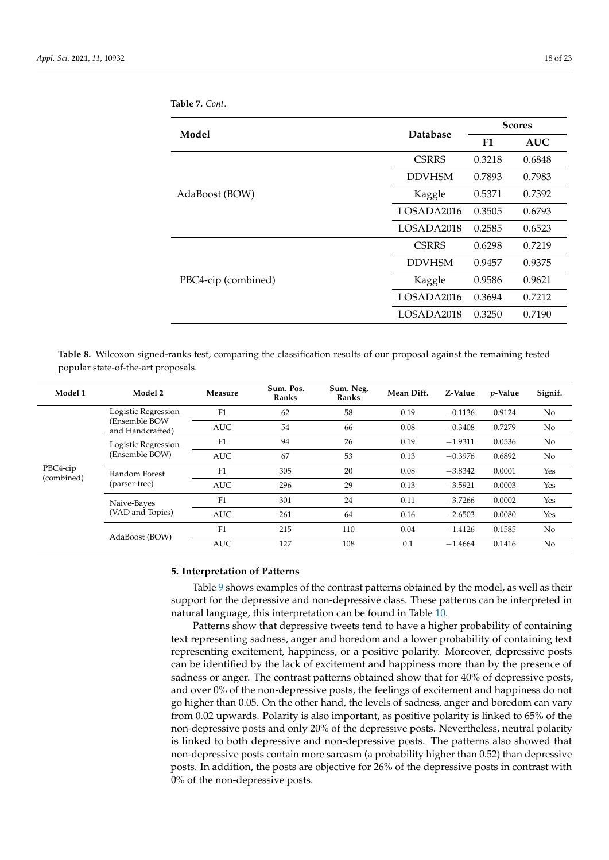| Model               | <b>Database</b> | <b>Scores</b> |            |
|---------------------|-----------------|---------------|------------|
|                     |                 | F1            | <b>AUC</b> |
|                     | <b>CSRRS</b>    | 0.3218        | 0.6848     |
|                     | <b>DDVHSM</b>   | 0.7893        | 0.7983     |
| AdaBoost (BOW)      | Kaggle          | 0.5371        | 0.7392     |
|                     | LOSADA2016      | 0.3505        | 0.6793     |
|                     | LOSADA2018      | 0.2585        | 0.6523     |
|                     | <b>CSRRS</b>    | 0.6298        | 0.7219     |
|                     | <b>DDVHSM</b>   | 0.9457        | 0.9375     |
| PBC4-cip (combined) | Kaggle          | 0.9586        | 0.9621     |
|                     | LOSADA2016      | 0.3694        | 0.7212     |
|                     | LOSADA2018      | 0.3250        | 0.7190     |

<span id="page-17-1"></span>**Table 7.** *Cont*.

<span id="page-17-2"></span>**Table 8.** Wilcoxon signed-ranks test, comparing the classification results of our proposal against the remaining tested popular state-of-the-art proposals.

| Model 1                | Model 2                           | Measure    | Sum. Pos.<br>Ranks | Sum. Neg.<br>Ranks | Mean Diff. | Z-Value   | <i>v</i> -Value | Signif. |
|------------------------|-----------------------------------|------------|--------------------|--------------------|------------|-----------|-----------------|---------|
|                        | Logistic Regression               | F1         | 62                 | 58                 | 0.19       | $-0.1136$ | 0.9124          | No      |
|                        | (Ensemble BOW<br>and Handcrafted) | <b>AUC</b> | 54                 | 66                 | 0.08       | $-0.3408$ | 0.7279          | No      |
|                        | Logistic Regression               | F1         | 94                 | 26                 | 0.19       | $-1.9311$ | 0.0536          | No      |
| PBC4-cip<br>(combined) | (Ensemble BOW)                    | <b>AUC</b> | 67                 | 53                 | 0.13       | $-0.3976$ | 0.6892          | No      |
|                        | Random Forest                     | F1         | 305                | 20                 | 0.08       | $-3.8342$ | 0.0001          | Yes     |
|                        | (parser-tree)                     | <b>AUC</b> | 296                | 29                 | 0.13       | $-3.5921$ | 0.0003          | Yes     |
| Naive-Bayes            |                                   | F1         | 301                | 24                 | 0.11       | $-3.7266$ | 0.0002          | Yes     |
|                        | (VAD and Topics)                  | <b>AUC</b> | 261                | 64                 | 0.16       | $-2.6503$ | 0.0080          | Yes     |
|                        |                                   | F1         | 215                | 110                | 0.04       | $-1.4126$ | 0.1585          | No      |
|                        | AdaBoost (BOW)                    | <b>AUC</b> | 127                | 108                | 0.1        | $-1.4664$ | 0.1416          | No      |

#### <span id="page-17-0"></span>**5. Interpretation of Patterns**

Table [9](#page-18-0) shows examples of the contrast patterns obtained by the model, as well as their support for the depressive and non-depressive class. These patterns can be interpreted in natural language, this interpretation can be found in Table [10.](#page-18-1)

Patterns show that depressive tweets tend to have a higher probability of containing text representing sadness, anger and boredom and a lower probability of containing text representing excitement, happiness, or a positive polarity. Moreover, depressive posts can be identified by the lack of excitement and happiness more than by the presence of sadness or anger. The contrast patterns obtained show that for 40% of depressive posts, and over 0% of the non-depressive posts, the feelings of excitement and happiness do not go higher than 0.05. On the other hand, the levels of sadness, anger and boredom can vary from 0.02 upwards. Polarity is also important, as positive polarity is linked to 65% of the non-depressive posts and only 20% of the depressive posts. Nevertheless, neutral polarity is linked to both depressive and non-depressive posts. The patterns also showed that non-depressive posts contain more sarcasm (a probability higher than 0.52) than depressive posts. In addition, the posts are objective for 26% of the depressive posts in contrast with 0% of the non-depressive posts.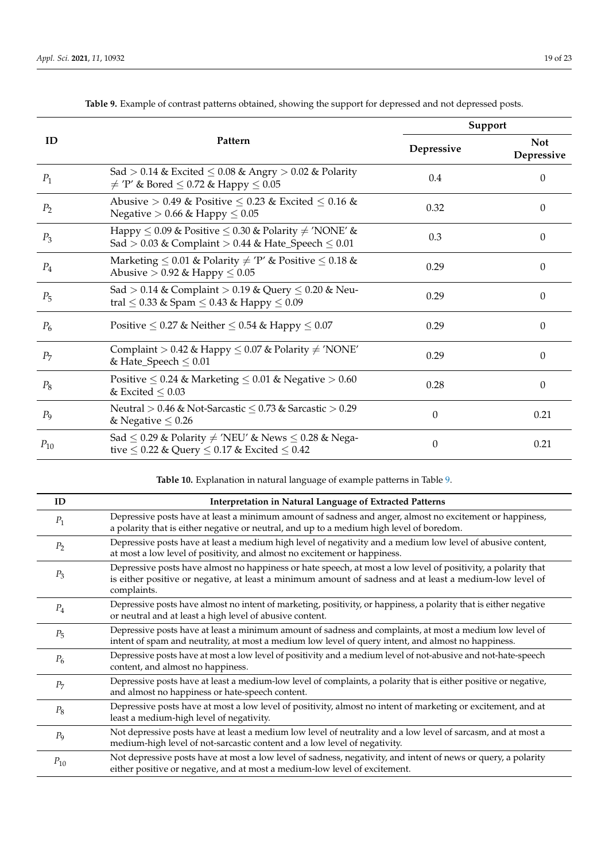<span id="page-18-0"></span>

|                |                                                                                                                                  |                  | Support                  |
|----------------|----------------------------------------------------------------------------------------------------------------------------------|------------------|--------------------------|
| ID             | Pattern                                                                                                                          | Depressive       | <b>Not</b><br>Depressive |
| $P_1$          | Sad > 0.14 & Excited $\leq$ 0.08 & Angry > 0.02 & Polarity<br>$\neq$ 'P' & Bored $\leq$ 0.72 & Happy $\leq$ 0.05                 | 0.4              | $\theta$                 |
| P <sub>2</sub> | Abusive > 0.49 & Positive $\leq$ 0.23 & Excited $\leq$ 0.16 &<br>Negative $> 0.66$ & Happy $\leq 0.05$                           | 0.32             | $\theta$                 |
| $P_3$          | Happy $\leq 0.09$ & Positive $\leq 0.30$ & Polarity $\neq$ 'NONE' &<br>Sad > 0.03 & Complaint > 0.44 & Hate_Speech $\leq 0.01$   | 0.3              | $\Omega$                 |
| $P_4$          | Marketing $\leq 0.01$ & Polarity $\neq$ 'P' & Positive $\leq 0.18$ &<br>Abusive $> 0.92$ & Happy $\leq 0.05$                     | 0.29             | $\theta$                 |
| $P_5$          | Sad > 0.14 & Complaint > 0.19 & Query $\leq$ 0.20 & Neu-<br>tral $\leq$ 0.33 & Spam $\leq$ 0.43 & Happy $\leq$ 0.09              | 0.29             | $\theta$                 |
| $P_6$          | Positive $\leq 0.27$ & Neither $\leq 0.54$ & Happy $\leq 0.07$                                                                   | 0.29             | $\theta$                 |
| $P_7$          | Complaint > 0.42 & Happy $\leq$ 0.07 & Polarity $\neq$ 'NONE'<br>& Hate_Speech $\leq 0.01$                                       | 0.29             | $\theta$                 |
| $P_8$          | Positive $\leq 0.24$ & Marketing $\leq 0.01$ & Negative $> 0.60$<br>& Excited $\leq 0.03$                                        | 0.28             | $\theta$                 |
| P <sub>9</sub> | Neutral > 0.46 & Not-Sarcastic $\leq$ 0.73 & Sarcastic > 0.29<br>& Negative $\leq 0.26$                                          | 0                | 0.21                     |
| $P_{10}$       | Sad $\leq$ 0.29 & Polarity $\neq$ 'NEU' & News $\leq$ 0.28 & Nega-<br>tive $\leq$ 0.22 & Query $\leq$ 0.17 & Excited $\leq$ 0.42 | $\boldsymbol{0}$ | 0.21                     |

**Table 9.** Example of contrast patterns obtained, showing the support for depressed and not depressed posts.

**Table 10.** Explanation in natural language of example patterns in Table [9.](#page-18-0)

<span id="page-18-1"></span>

| ID             | Interpretation in Natural Language of Extracted Patterns                                                                                                                                                                               |
|----------------|----------------------------------------------------------------------------------------------------------------------------------------------------------------------------------------------------------------------------------------|
| $P_1$          | Depressive posts have at least a minimum amount of sadness and anger, almost no excitement or happiness,<br>a polarity that is either negative or neutral, and up to a medium high level of boredom.                                   |
| P <sub>2</sub> | Depressive posts have at least a medium high level of negativity and a medium low level of abusive content,<br>at most a low level of positivity, and almost no excitement or happiness.                                               |
| $P_3$          | Depressive posts have almost no happiness or hate speech, at most a low level of positivity, a polarity that<br>is either positive or negative, at least a minimum amount of sadness and at least a medium-low level of<br>complaints. |
| $P_4$          | Depressive posts have almost no intent of marketing, positivity, or happiness, a polarity that is either negative<br>or neutral and at least a high level of abusive content.                                                          |
| $P_5$          | Depressive posts have at least a minimum amount of sadness and complaints, at most a medium low level of<br>intent of spam and neutrality, at most a medium low level of query intent, and almost no happiness.                        |
| $P_6$          | Depressive posts have at most a low level of positivity and a medium level of not-abusive and not-hate-speech<br>content, and almost no happiness.                                                                                     |
| $P_7$          | Depressive posts have at least a medium-low level of complaints, a polarity that is either positive or negative,<br>and almost no happiness or hate-speech content.                                                                    |
| $P_8$          | Depressive posts have at most a low level of positivity, almost no intent of marketing or excitement, and at<br>least a medium-high level of negativity.                                                                               |
| $P_{9}$        | Not depressive posts have at least a medium low level of neutrality and a low level of sarcasm, and at most a<br>medium-high level of not-sarcastic content and a low level of negativity.                                             |
| $P_{10}$       | Not depressive posts have at most a low level of sadness, negativity, and intent of news or query, a polarity<br>either positive or negative, and at most a medium-low level of excitement.                                            |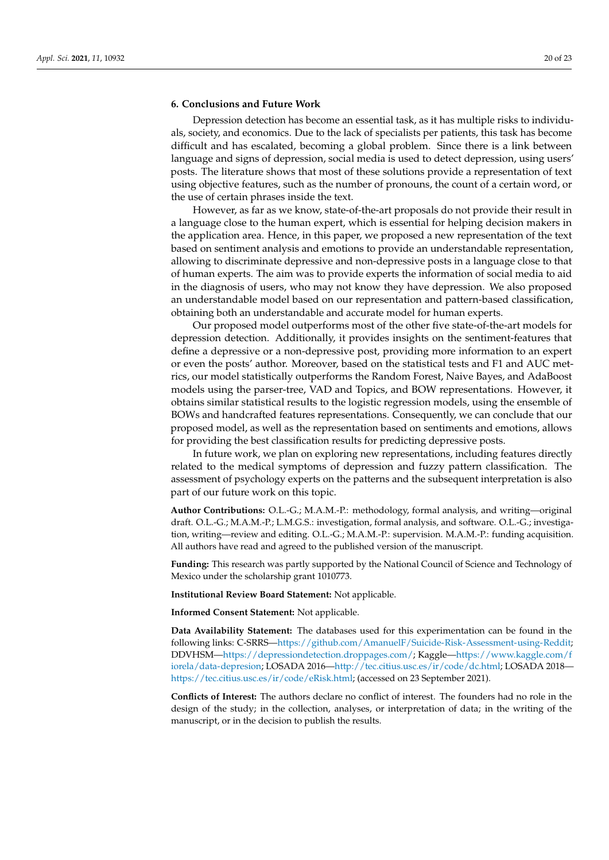#### <span id="page-19-0"></span>**6. Conclusions and Future Work**

Depression detection has become an essential task, as it has multiple risks to individuals, society, and economics. Due to the lack of specialists per patients, this task has become difficult and has escalated, becoming a global problem. Since there is a link between language and signs of depression, social media is used to detect depression, using users' posts. The literature shows that most of these solutions provide a representation of text using objective features, such as the number of pronouns, the count of a certain word, or the use of certain phrases inside the text.

However, as far as we know, state-of-the-art proposals do not provide their result in a language close to the human expert, which is essential for helping decision makers in the application area. Hence, in this paper, we proposed a new representation of the text based on sentiment analysis and emotions to provide an understandable representation, allowing to discriminate depressive and non-depressive posts in a language close to that of human experts. The aim was to provide experts the information of social media to aid in the diagnosis of users, who may not know they have depression. We also proposed an understandable model based on our representation and pattern-based classification, obtaining both an understandable and accurate model for human experts.

Our proposed model outperforms most of the other five state-of-the-art models for depression detection. Additionally, it provides insights on the sentiment-features that define a depressive or a non-depressive post, providing more information to an expert or even the posts' author. Moreover, based on the statistical tests and F1 and AUC metrics, our model statistically outperforms the Random Forest, Naive Bayes, and AdaBoost models using the parser-tree, VAD and Topics, and BOW representations. However, it obtains similar statistical results to the logistic regression models, using the ensemble of BOWs and handcrafted features representations. Consequently, we can conclude that our proposed model, as well as the representation based on sentiments and emotions, allows for providing the best classification results for predicting depressive posts.

In future work, we plan on exploring new representations, including features directly related to the medical symptoms of depression and fuzzy pattern classification. The assessment of psychology experts on the patterns and the subsequent interpretation is also part of our future work on this topic.

**Author Contributions:** O.L.-G.; M.A.M.-P.: methodology, formal analysis, and writing—original draft. O.L.-G.; M.A.M.-P.; L.M.G.S.: investigation, formal analysis, and software. O.L.-G.; investigation, writing—review and editing. O.L.-G.; M.A.M.-P.: supervision. M.A.M.-P.: funding acquisition. All authors have read and agreed to the published version of the manuscript.

**Funding:** This research was partly supported by the National Council of Science and Technology of Mexico under the scholarship grant 1010773.

**Institutional Review Board Statement:** Not applicable.

**Informed Consent Statement:** Not applicable.

**Data Availability Statement:** The databases used for this experimentation can be found in the following links: C-SRRS[—https://github.com/AmanuelF/Suicide-Risk-Assessment-using-Reddit;](https://github.com/AmanuelF/Suicide-Risk-Assessment-using-Reddit) DDVHSM[—https://depressiondetection.droppages.com/;](https://depressiondetection.droppages.com/) Kaggle[—https://www.kaggle.com/f](https://www.kaggle.com/fiorela/data-depresion) [iorela/data-depresion;](https://www.kaggle.com/fiorela/data-depresion) LOSADA 2016[—http://tec.citius.usc.es/ir/code/dc.html;](http://tec.citius.usc.es/ir/code/dc.html) LOSADA 2018 [https://tec.citius.usc.es/ir/code/eRisk.html;](https://tec.citius.usc.es/ir/code/eRisk.html) (accessed on 23 September 2021).

**Conflicts of Interest:** The authors declare no conflict of interest. The founders had no role in the design of the study; in the collection, analyses, or interpretation of data; in the writing of the manuscript, or in the decision to publish the results.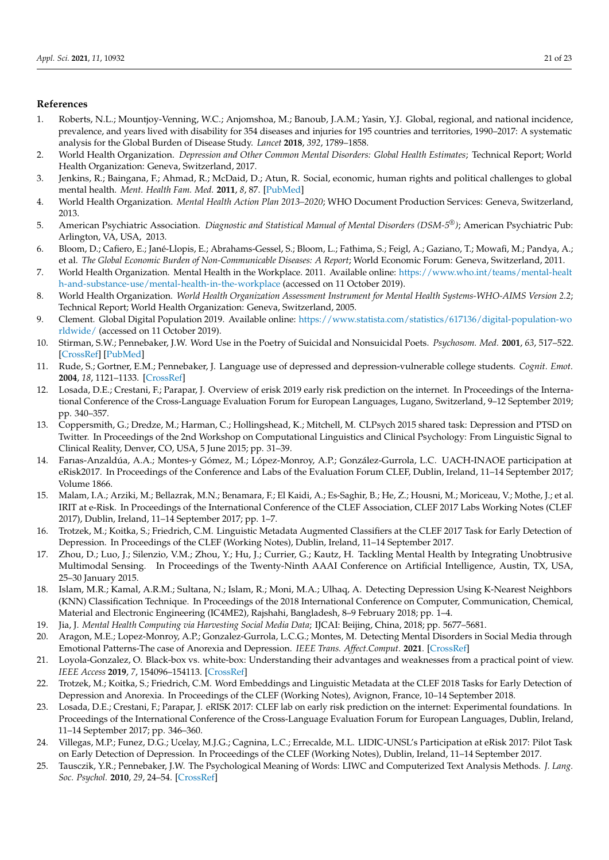# **References**

- <span id="page-20-0"></span>1. Roberts, N.L.; Mountjoy-Venning, W.C.; Anjomshoa, M.; Banoub, J.A.M.; Yasin, Y.J. Global, regional, and national incidence, prevalence, and years lived with disability for 354 diseases and injuries for 195 countries and territories, 1990–2017: A systematic analysis for the Global Burden of Disease Study. *Lancet* **2018**, *392*, 1789–1858.
- <span id="page-20-1"></span>2. World Health Organization. *Depression and Other Common Mental Disorders: Global Health Estimates*; Technical Report; World Health Organization: Geneva, Switzerland, 2017.
- <span id="page-20-2"></span>3. Jenkins, R.; Baingana, F.; Ahmad, R.; McDaid, D.; Atun, R. Social, economic, human rights and political challenges to global mental health. *Ment. Health Fam. Med.* **2011**, *8*, 87. [\[PubMed\]](http://www.ncbi.nlm.nih.gov/pubmed/22654971)
- <span id="page-20-3"></span>4. World Health Organization. *Mental Health Action Plan 2013–2020*; WHO Document Production Services: Geneva, Switzerland, 2013.
- <span id="page-20-4"></span>5. American Psychiatric Association. *Diagnostic and Statistical Manual of Mental Disorders (DSM-5®)*; American Psychiatric Pub: Arlington, VA, USA, 2013.
- <span id="page-20-5"></span>6. Bloom, D.; Cafiero, E.; Jané-Llopis, E.; Abrahams-Gessel, S.; Bloom, L.; Fathima, S.; Feigl, A.; Gaziano, T.; Mowafi, M.; Pandya, A.; et al. *The Global Economic Burden of Non-Communicable Diseases: A Report*; World Economic Forum: Geneva, Switzerland, 2011.
- <span id="page-20-6"></span>7. World Health Organization. Mental Health in the Workplace. 2011. Available online: [https://www.who.int/teams/mental-healt](https://www.who.int/teams/mental-health-and-substance-use/mental-health-in-the-workplace) [h-and-substance-use/mental-health-in-the-workplace](https://www.who.int/teams/mental-health-and-substance-use/mental-health-in-the-workplace) (accessed on 11 October 2019).
- <span id="page-20-7"></span>8. World Health Organization. *World Health Organization Assessment Instrument for Mental Health Systems-WHO-AIMS Version 2.2*; Technical Report; World Health Organization: Geneva, Switzerland, 2005.
- <span id="page-20-8"></span>9. Clement. Global Digital Population 2019. Available online: [https://www.statista.com/statistics/617136/digital-population-wo](https://www.statista.com/statistics/617136/digital-population-worldwide/) [rldwide/](https://www.statista.com/statistics/617136/digital-population-worldwide/) (accessed on 11 October 2019).
- <span id="page-20-9"></span>10. Stirman, S.W.; Pennebaker, J.W. Word Use in the Poetry of Suicidal and Nonsuicidal Poets. *Psychosom. Med.* **2001**, *63*, 517–522. [\[CrossRef\]](http://doi.org/10.1097/00006842-200107000-00001) [\[PubMed\]](http://www.ncbi.nlm.nih.gov/pubmed/11485104)
- <span id="page-20-10"></span>11. Rude, S.; Gortner, E.M.; Pennebaker, J. Language use of depressed and depression-vulnerable college students. *Cognit. Emot.* **2004**, *18*, 1121–1133. [\[CrossRef\]](http://dx.doi.org/10.1080/02699930441000030)
- <span id="page-20-11"></span>12. Losada, D.E.; Crestani, F.; Parapar, J. Overview of erisk 2019 early risk prediction on the internet. In Proceedings of the International Conference of the Cross-Language Evaluation Forum for European Languages, Lugano, Switzerland, 9–12 September 2019; pp. 340–357.
- <span id="page-20-12"></span>13. Coppersmith, G.; Dredze, M.; Harman, C.; Hollingshead, K.; Mitchell, M. CLPsych 2015 shared task: Depression and PTSD on Twitter. In Proceedings of the 2nd Workshop on Computational Linguistics and Clinical Psychology: From Linguistic Signal to Clinical Reality, Denver, CO, USA, 5 June 2015; pp. 31–39.
- <span id="page-20-13"></span>14. Farıas-Anzaldúa, A.A.; Montes-y Gómez, M.; López-Monroy, A.P.; González-Gurrola, L.C. UACH-INAOE participation at eRisk2017. In Proceedings of the Conference and Labs of the Evaluation Forum CLEF, Dublin, Ireland, 11–14 September 2017; Volume 1866.
- <span id="page-20-14"></span>15. Malam, I.A.; Arziki, M.; Bellazrak, M.N.; Benamara, F.; El Kaidi, A.; Es-Saghir, B.; He, Z.; Housni, M.; Moriceau, V.; Mothe, J.; et al. IRIT at e-Risk. In Proceedings of the International Conference of the CLEF Association, CLEF 2017 Labs Working Notes (CLEF 2017), Dublin, Ireland, 11–14 September 2017; pp. 1–7.
- <span id="page-20-15"></span>16. Trotzek, M.; Koitka, S.; Friedrich, C.M. Linguistic Metadata Augmented Classifiers at the CLEF 2017 Task for Early Detection of Depression. In Proceedings of the CLEF (Working Notes), Dublin, Ireland, 11–14 September 2017.
- <span id="page-20-16"></span>17. Zhou, D.; Luo, J.; Silenzio, V.M.; Zhou, Y.; Hu, J.; Currier, G.; Kautz, H. Tackling Mental Health by Integrating Unobtrusive Multimodal Sensing. In Proceedings of the Twenty-Ninth AAAI Conference on Artificial Intelligence, Austin, TX, USA, 25–30 January 2015.
- <span id="page-20-23"></span>18. Islam, M.R.; Kamal, A.R.M.; Sultana, N.; Islam, R.; Moni, M.A.; Ulhaq, A. Detecting Depression Using K-Nearest Neighbors (KNN) Classification Technique. In Proceedings of the 2018 International Conference on Computer, Communication, Chemical, Material and Electronic Engineering (IC4ME2), Rajshahi, Bangladesh, 8–9 February 2018; pp. 1–4.
- <span id="page-20-24"></span>19. Jia, J. *Mental Health Computing via Harvesting Social Media Data*; IJCAI: Beijing, China, 2018; pp. 5677–5681.
- <span id="page-20-17"></span>20. Aragon, M.E.; Lopez-Monroy, A.P.; Gonzalez-Gurrola, L.C.G.; Montes, M. Detecting Mental Disorders in Social Media through Emotional Patterns-The case of Anorexia and Depression. *IEEE Trans. Affect.Comput.* **2021**. [\[CrossRef\]](http://dx.doi.org/10.1109/TAFFC.2021.3075638)
- <span id="page-20-18"></span>21. Loyola-Gonzalez, O. Black-box vs. white-box: Understanding their advantages and weaknesses from a practical point of view. *IEEE Access* **2019**, *7*, 154096–154113. [\[CrossRef\]](http://dx.doi.org/10.1109/ACCESS.2019.2949286)
- <span id="page-20-19"></span>22. Trotzek, M.; Koitka, S.; Friedrich, C.M. Word Embeddings and Linguistic Metadata at the CLEF 2018 Tasks for Early Detection of Depression and Anorexia. In Proceedings of the CLEF (Working Notes), Avignon, France, 10–14 September 2018.
- <span id="page-20-20"></span>23. Losada, D.E.; Crestani, F.; Parapar, J. eRISK 2017: CLEF lab on early risk prediction on the internet: Experimental foundations. In Proceedings of the International Conference of the Cross-Language Evaluation Forum for European Languages, Dublin, Ireland, 11–14 September 2017; pp. 346–360.
- <span id="page-20-21"></span>24. Villegas, M.P.; Funez, D.G.; Ucelay, M.J.G.; Cagnina, L.C.; Errecalde, M.L. LIDIC-UNSL's Participation at eRisk 2017: Pilot Task on Early Detection of Depression. In Proceedings of the CLEF (Working Notes), Dublin, Ireland, 11–14 September 2017.
- <span id="page-20-22"></span>25. Tausczik, Y.R.; Pennebaker, J.W. The Psychological Meaning of Words: LIWC and Computerized Text Analysis Methods. *J. Lang. Soc. Psychol.* **2010**, *29*, 24–54. [\[CrossRef\]](http://dx.doi.org/10.1177/0261927X09351676)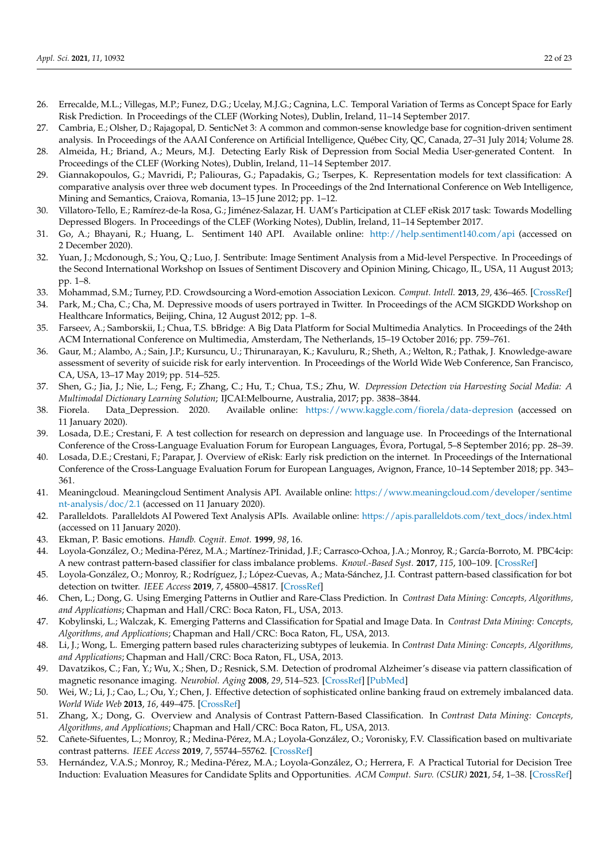- <span id="page-21-0"></span>26. Errecalde, M.L.; Villegas, M.P.; Funez, D.G.; Ucelay, M.J.G.; Cagnina, L.C. Temporal Variation of Terms as Concept Space for Early Risk Prediction. In Proceedings of the CLEF (Working Notes), Dublin, Ireland, 11–14 September 2017.
- <span id="page-21-1"></span>27. Cambria, E.; Olsher, D.; Rajagopal, D. SenticNet 3: A common and common-sense knowledge base for cognition-driven sentiment analysis. In Proceedings of the AAAI Conference on Artificial Intelligence, Québec City, QC, Canada, 27–31 July 2014; Volume 28.
- <span id="page-21-2"></span>28. Almeida, H.; Briand, A.; Meurs, M.J. Detecting Early Risk of Depression from Social Media User-generated Content. In Proceedings of the CLEF (Working Notes), Dublin, Ireland, 11–14 September 2017.
- <span id="page-21-3"></span>29. Giannakopoulos, G.; Mavridi, P.; Paliouras, G.; Papadakis, G.; Tserpes, K. Representation models for text classification: A comparative analysis over three web document types. In Proceedings of the 2nd International Conference on Web Intelligence, Mining and Semantics, Craiova, Romania, 13–15 June 2012; pp. 1–12.
- <span id="page-21-4"></span>30. Villatoro-Tello, E.; Ramírez-de-la Rosa, G.; Jiménez-Salazar, H. UAM's Participation at CLEF eRisk 2017 task: Towards Modelling Depressed Blogers. In Proceedings of the CLEF (Working Notes), Dublin, Ireland, 11–14 September 2017.
- <span id="page-21-5"></span>31. Go, A.; Bhayani, R.; Huang, L. Sentiment 140 API. Available online: <http://help.sentiment140.com/api> (accessed on 2 December 2020).
- <span id="page-21-6"></span>32. Yuan, J.; Mcdonough, S.; You, Q.; Luo, J. Sentribute: Image Sentiment Analysis from a Mid-level Perspective. In Proceedings of the Second International Workshop on Issues of Sentiment Discovery and Opinion Mining, Chicago, IL, USA, 11 August 2013; pp. 1–8.
- <span id="page-21-7"></span>33. Mohammad, S.M.; Turney, P.D. Crowdsourcing a Word-emotion Association Lexicon. *Comput. Intell.* **2013**, *29*, 436–465. [\[CrossRef\]](http://dx.doi.org/10.1111/j.1467-8640.2012.00460.x)
- <span id="page-21-8"></span>34. Park, M.; Cha, C.; Cha, M. Depressive moods of users portrayed in Twitter. In Proceedings of the ACM SIGKDD Workshop on Healthcare Informatics, Beijing, China, 12 August 2012; pp. 1–8.
- <span id="page-21-9"></span>35. Farseev, A.; Samborskii, I.; Chua, T.S. bBridge: A Big Data Platform for Social Multimedia Analytics. In Proceedings of the 24th ACM International Conference on Multimedia, Amsterdam, The Netherlands, 15–19 October 2016; pp. 759–761.
- <span id="page-21-10"></span>36. Gaur, M.; Alambo, A.; Sain, J.P.; Kursuncu, U.; Thirunarayan, K.; Kavuluru, R.; Sheth, A.; Welton, R.; Pathak, J. Knowledge-aware assessment of severity of suicide risk for early intervention. In Proceedings of the World Wide Web Conference, San Francisco, CA, USA, 13–17 May 2019; pp. 514–525.
- <span id="page-21-11"></span>37. Shen, G.; Jia, J.; Nie, L.; Feng, F.; Zhang, C.; Hu, T.; Chua, T.S.; Zhu, W. *Depression Detection via Harvesting Social Media: A Multimodal Dictionary Learning Solution*; IJCAI:Melbourne, Australia, 2017; pp. 3838–3844.
- <span id="page-21-12"></span>38. Fiorela. Data\_Depression. 2020. Available online: <https://www.kaggle.com/fiorela/data-depresion> (accessed on 11 January 2020).
- <span id="page-21-13"></span>39. Losada, D.E.; Crestani, F. A test collection for research on depression and language use. In Proceedings of the International Conference of the Cross-Language Evaluation Forum for European Languages, Évora, Portugal, 5–8 September 2016; pp. 28–39.
- <span id="page-21-14"></span>40. Losada, D.E.; Crestani, F.; Parapar, J. Overview of eRisk: Early risk prediction on the internet. In Proceedings of the International Conference of the Cross-Language Evaluation Forum for European Languages, Avignon, France, 10–14 September 2018; pp. 343– 361.
- <span id="page-21-15"></span>41. Meaningcloud. Meaningcloud Sentiment Analysis API. Available online: [https://www.meaningcloud.com/developer/sentime](https://www.meaningcloud.com/developer/sentiment-analysis/doc/2.1) [nt-analysis/doc/2.1](https://www.meaningcloud.com/developer/sentiment-analysis/doc/2.1) (accessed on 11 January 2020).
- <span id="page-21-16"></span>42. Paralleldots. Paralleldots AI Powered Text Analysis APIs. Available online: [https://apis.paralleldots.com/text\\_docs/index.html](https://apis.paralleldots.com/text_docs/index.html) (accessed on 11 January 2020).
- <span id="page-21-17"></span>43. Ekman, P. Basic emotions. *Handb. Cognit. Emot.* **1999**, *98*, 16.
- <span id="page-21-18"></span>44. Loyola-González, O.; Medina-Pérez, M.A.; Martínez-Trinidad, J.F.; Carrasco-Ochoa, J.A.; Monroy, R.; García-Borroto, M. PBC4cip: A new contrast pattern-based classifier for class imbalance problems. *Knowl.-Based Syst.* **2017**, *115*, 100–109. [\[CrossRef\]](http://dx.doi.org/10.1016/j.knosys.2016.10.018)
- <span id="page-21-19"></span>45. Loyola-González, O.; Monroy, R.; Rodríguez, J.; López-Cuevas, A.; Mata-Sánchez, J.I. Contrast pattern-based classification for bot detection on twitter. *IEEE Access* **2019**, *7*, 45800–45817. [\[CrossRef\]](http://dx.doi.org/10.1109/ACCESS.2019.2904220)
- <span id="page-21-20"></span>46. Chen, L.; Dong, G. Using Emerging Patterns in Outlier and Rare-Class Prediction. In *Contrast Data Mining: Concepts, Algorithms, and Applications*; Chapman and Hall/CRC: Boca Raton, FL, USA, 2013.
- <span id="page-21-21"></span>47. Kobylinski, L.; Walczak, K. Emerging Patterns and Classification for Spatial and Image Data. In *Contrast Data Mining: Concepts, Algorithms, and Applications*; Chapman and Hall/CRC: Boca Raton, FL, USA, 2013.
- <span id="page-21-22"></span>48. Li, J.; Wong, L. Emerging pattern based rules characterizing subtypes of leukemia. In *Contrast Data Mining: Concepts, Algorithms, and Applications*; Chapman and Hall/CRC: Boca Raton, FL, USA, 2013.
- <span id="page-21-23"></span>49. Davatzikos, C.; Fan, Y.; Wu, X.; Shen, D.; Resnick, S.M. Detection of prodromal Alzheimer's disease via pattern classification of magnetic resonance imaging. *Neurobiol. Aging* **2008**, *29*, 514–523. [\[CrossRef\]](http://dx.doi.org/10.1016/j.neurobiolaging.2006.11.010) [\[PubMed\]](http://www.ncbi.nlm.nih.gov/pubmed/17174012)
- <span id="page-21-24"></span>50. Wei, W.; Li, J.; Cao, L.; Ou, Y.; Chen, J. Effective detection of sophisticated online banking fraud on extremely imbalanced data. *World Wide Web* **2013**, *16*, 449–475. [\[CrossRef\]](http://dx.doi.org/10.1007/s11280-012-0178-0)
- <span id="page-21-25"></span>51. Zhang, X.; Dong, G. Overview and Analysis of Contrast Pattern-Based Classification. In *Contrast Data Mining: Concepts, Algorithms, and Applications*; Chapman and Hall/CRC: Boca Raton, FL, USA, 2013.
- <span id="page-21-26"></span>52. Cañete-Sifuentes, L.; Monroy, R.; Medina-Pérez, M.A.; Loyola-González, O.; Voronisky, F.V. Classification based on multivariate contrast patterns. *IEEE Access* **2019**, *7*, 55744–55762. [\[CrossRef\]](http://dx.doi.org/10.1109/ACCESS.2019.2913649)
- <span id="page-21-27"></span>53. Hernández, V.A.S.; Monroy, R.; Medina-Pérez, M.A.; Loyola-González, O.; Herrera, F. A Practical Tutorial for Decision Tree Induction: Evaluation Measures for Candidate Splits and Opportunities. *ACM Comput. Surv. (CSUR)* **2021**, *54*, 1–38. [\[CrossRef\]](http://dx.doi.org/10.1145/3429739)